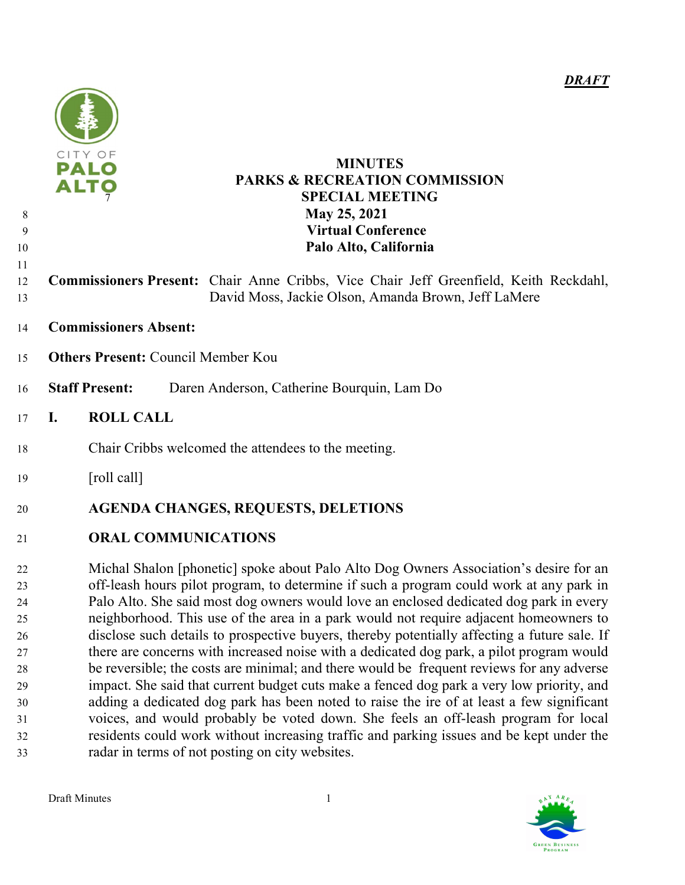

### PALO MINUTES PARKS & RECREATION COMMISSION **SPECIAL MEETING** 8 May 25, 2021 Virtual Conference Palo Alto, California

- Commissioners Present: Chair Anne Cribbs, Vice Chair Jeff Greenfield, Keith Reckdahl, David Moss, Jackie Olson, Amanda Brown, Jeff LaMere
- Commissioners Absent:
- Others Present: Council Member Kou
- Staff Present: Daren Anderson, Catherine Bourquin, Lam Do
- I. ROLL CALL
- Chair Cribbs welcomed the attendees to the meeting.
- 19 [roll call]
- AGENDA CHANGES, REQUESTS, DELETIONS

### ORAL COMMUNICATIONS

Michal Shalon [phonetic] spoke about Palo Alto Dog Owners Association's desire for an off-leash hours pilot program, to determine if such a program could work at any park in Palo Alto. She said most dog owners would love an enclosed dedicated dog park in every neighborhood. This use of the area in a park would not require adjacent homeowners to disclose such details to prospective buyers, thereby potentially affecting a future sale. If there are concerns with increased noise with a dedicated dog park, a pilot program would be reversible; the costs are minimal; and there would be frequent reviews for any adverse impact. She said that current budget cuts make a fenced dog park a very low priority, and adding a dedicated dog park has been noted to raise the ire of at least a few significant voices, and would probably be voted down. She feels an off-leash program for local residents could work without increasing traffic and parking issues and be kept under the radar in terms of not posting on city websites.

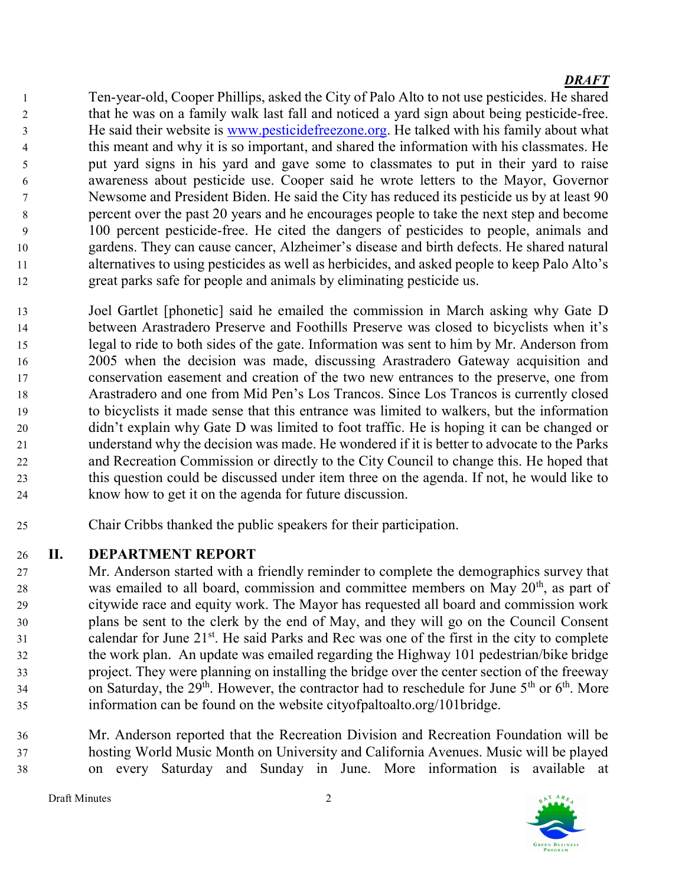Ten-year-old, Cooper Phillips, asked the City of Palo Alto to not use pesticides. He shared that he was on a family walk last fall and noticed a yard sign about being pesticide-free. He said their website is www.pesticidefreezone.org. He talked with his family about what this meant and why it is so important, and shared the information with his classmates. He put yard signs in his yard and gave some to classmates to put in their yard to raise awareness about pesticide use. Cooper said he wrote letters to the Mayor, Governor Newsome and President Biden. He said the City has reduced its pesticide us by at least 90 percent over the past 20 years and he encourages people to take the next step and become 100 percent pesticide-free. He cited the dangers of pesticides to people, animals and gardens. They can cause cancer, Alzheimer's disease and birth defects. He shared natural alternatives to using pesticides as well as herbicides, and asked people to keep Palo Alto's great parks safe for people and animals by eliminating pesticide us.

- Joel Gartlet [phonetic] said he emailed the commission in March asking why Gate D between Arastradero Preserve and Foothills Preserve was closed to bicyclists when it's legal to ride to both sides of the gate. Information was sent to him by Mr. Anderson from 2005 when the decision was made, discussing Arastradero Gateway acquisition and conservation easement and creation of the two new entrances to the preserve, one from Arastradero and one from Mid Pen's Los Trancos. Since Los Trancos is currently closed to bicyclists it made sense that this entrance was limited to walkers, but the information didn't explain why Gate D was limited to foot traffic. He is hoping it can be changed or understand why the decision was made. He wondered if it is better to advocate to the Parks and Recreation Commission or directly to the City Council to change this. He hoped that this question could be discussed under item three on the agenda. If not, he would like to know how to get it on the agenda for future discussion.
- Chair Cribbs thanked the public speakers for their participation.

# II. DEPARTMENT REPORT

Mr. Anderson started with a friendly reminder to complete the demographics survey that was emailed to all board, commission and committee members on May  $20<sup>th</sup>$ , as part of citywide race and equity work. The Mayor has requested all board and commission work plans be sent to the clerk by the end of May, and they will go on the Council Consent calendar for June  $21^{st}$ . He said Parks and Rec was one of the first in the city to complete the work plan. An update was emailed regarding the Highway 101 pedestrian/bike bridge project. They were planning on installing the bridge over the center section of the freeway on Saturday, the 29<sup>th</sup>. However, the contractor had to reschedule for June  $5<sup>th</sup>$  or  $6<sup>th</sup>$ . More information can be found on the website cityofpaltoalto.org/101bridge.

Mr. Anderson reported that the Recreation Division and Recreation Foundation will be hosting World Music Month on University and California Avenues. Music will be played on every Saturday and Sunday in June. More information is available at

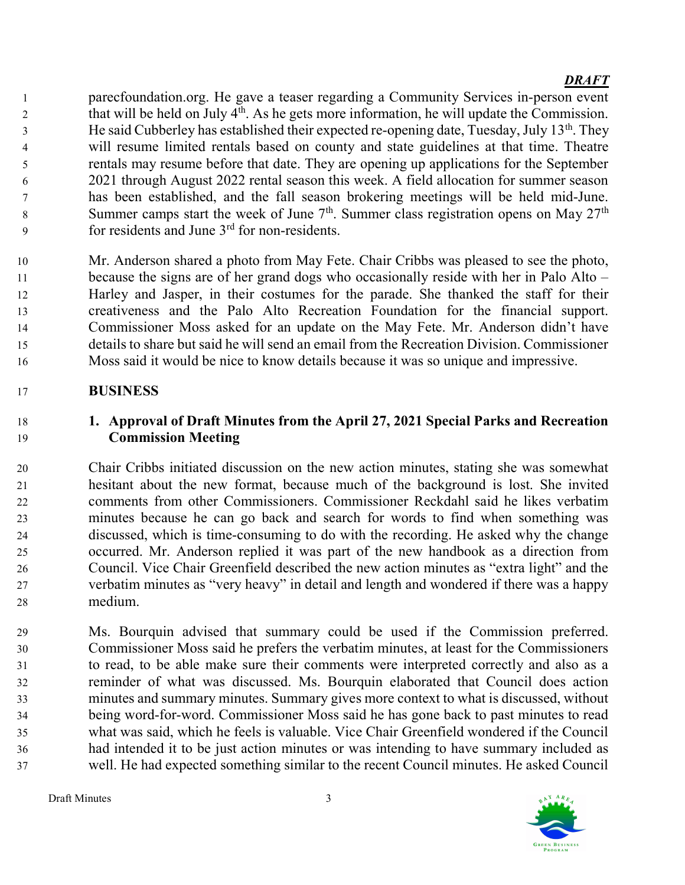parecfoundation.org. He gave a teaser regarding a Community Services in-person event that will be held on July  $4<sup>th</sup>$ . As he gets more information, he will update the Commission.  $\mu$  He said Cubberley has established their expected re-opening date, Tuesday, July 13<sup>th</sup>. They will resume limited rentals based on county and state guidelines at that time. Theatre rentals may resume before that date. They are opening up applications for the September 2021 through August 2022 rental season this week. A field allocation for summer season has been established, and the fall season brokering meetings will be held mid-June. Summer camps start the week of June  $7<sup>th</sup>$ . Summer class registration opens on May  $27<sup>th</sup>$  $\frac{1}{9}$  for residents and June  $3<sup>rd</sup>$  for non-residents.

Mr. Anderson shared a photo from May Fete. Chair Cribbs was pleased to see the photo, 11 because the signs are of her grand dogs who occasionally reside with her in Palo Alto – Harley and Jasper, in their costumes for the parade. She thanked the staff for their creativeness and the Palo Alto Recreation Foundation for the financial support. Commissioner Moss asked for an update on the May Fete. Mr. Anderson didn't have details to share but said he will send an email from the Recreation Division. Commissioner Moss said it would be nice to know details because it was so unique and impressive.

# BUSINESS

# 1. Approval of Draft Minutes from the April 27, 2021 Special Parks and Recreation Commission Meeting

Chair Cribbs initiated discussion on the new action minutes, stating she was somewhat hesitant about the new format, because much of the background is lost. She invited comments from other Commissioners. Commissioner Reckdahl said he likes verbatim minutes because he can go back and search for words to find when something was discussed, which is time-consuming to do with the recording. He asked why the change occurred. Mr. Anderson replied it was part of the new handbook as a direction from Council. Vice Chair Greenfield described the new action minutes as "extra light" and the verbatim minutes as "very heavy" in detail and length and wondered if there was a happy medium.

Ms. Bourquin advised that summary could be used if the Commission preferred. Commissioner Moss said he prefers the verbatim minutes, at least for the Commissioners to read, to be able make sure their comments were interpreted correctly and also as a reminder of what was discussed. Ms. Bourquin elaborated that Council does action minutes and summary minutes. Summary gives more context to what is discussed, without being word-for-word. Commissioner Moss said he has gone back to past minutes to read what was said, which he feels is valuable. Vice Chair Greenfield wondered if the Council had intended it to be just action minutes or was intending to have summary included as well. He had expected something similar to the recent Council minutes. He asked Council

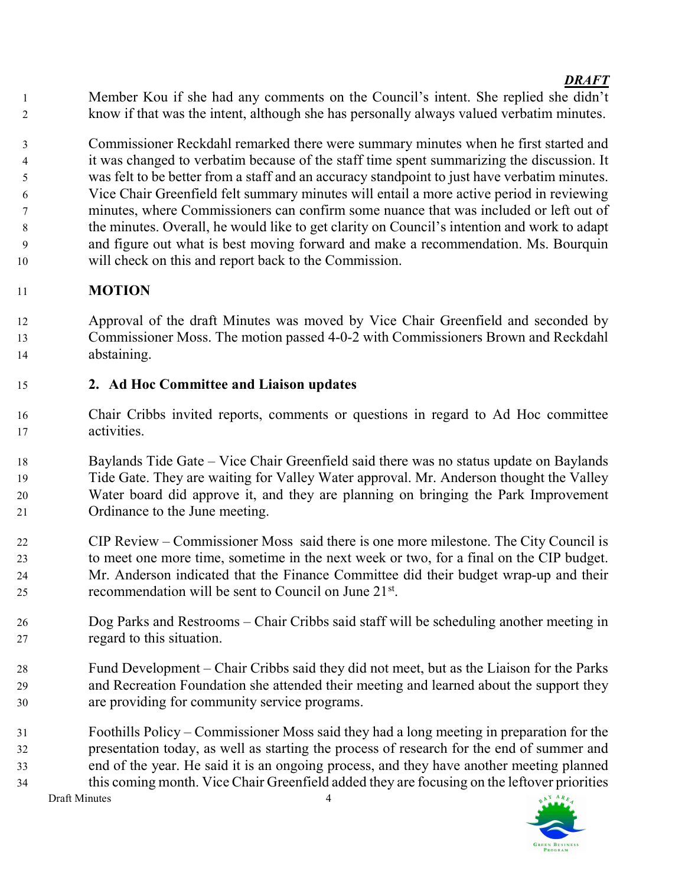Member Kou if she had any comments on the Council's intent. She replied she didn't know if that was the intent, although she has personally always valued verbatim minutes.

Commissioner Reckdahl remarked there were summary minutes when he first started and it was changed to verbatim because of the staff time spent summarizing the discussion. It was felt to be better from a staff and an accuracy standpoint to just have verbatim minutes. Vice Chair Greenfield felt summary minutes will entail a more active period in reviewing minutes, where Commissioners can confirm some nuance that was included or left out of the minutes. Overall, he would like to get clarity on Council's intention and work to adapt and figure out what is best moving forward and make a recommendation. Ms. Bourquin will check on this and report back to the Commission.

# MOTION

Approval of the draft Minutes was moved by Vice Chair Greenfield and seconded by Commissioner Moss. The motion passed 4-0-2 with Commissioners Brown and Reckdahl abstaining.

# 2. Ad Hoc Committee and Liaison updates

- Chair Cribbs invited reports, comments or questions in regard to Ad Hoc committee activities.
- Baylands Tide Gate Vice Chair Greenfield said there was no status update on Baylands Tide Gate. They are waiting for Valley Water approval. Mr. Anderson thought the Valley Water board did approve it, and they are planning on bringing the Park Improvement Ordinance to the June meeting.
- CIP Review Commissioner Moss said there is one more milestone. The City Council is to meet one more time, sometime in the next week or two, for a final on the CIP budget. Mr. Anderson indicated that the Finance Committee did their budget wrap-up and their 25 recommendation will be sent to Council on June  $21<sup>st</sup>$ .
- Dog Parks and Restrooms Chair Cribbs said staff will be scheduling another meeting in regard to this situation.
- Fund Development Chair Cribbs said they did not meet, but as the Liaison for the Parks and Recreation Foundation she attended their meeting and learned about the support they are providing for community service programs.
- Foothills Policy Commissioner Moss said they had a long meeting in preparation for the presentation today, as well as starting the process of research for the end of summer and end of the year. He said it is an ongoing process, and they have another meeting planned this coming month. Vice Chair Greenfield added they are focusing on the leftover priorities

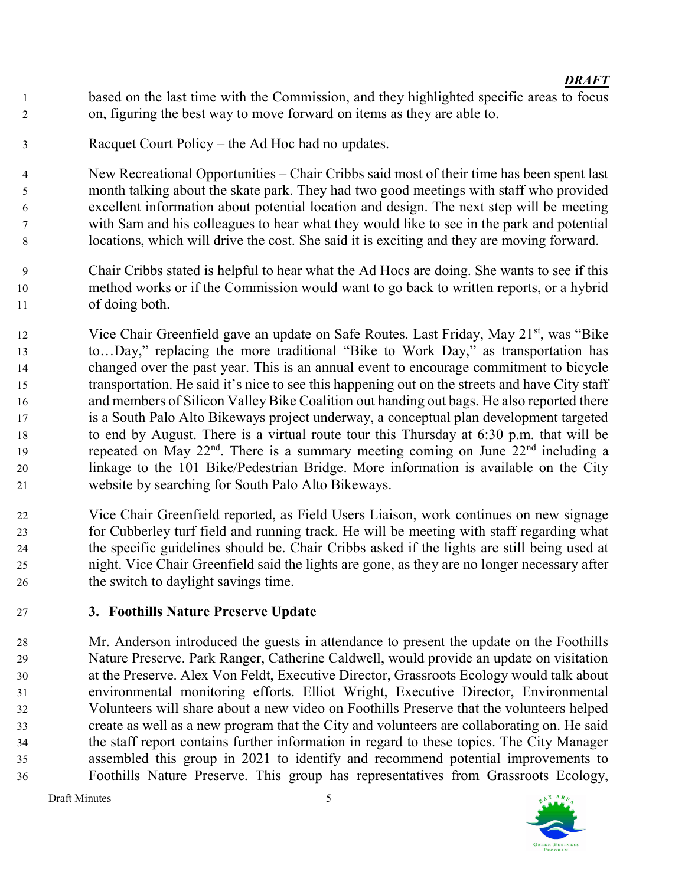- based on the last time with the Commission, and they highlighted specific areas to focus on, figuring the best way to move forward on items as they are able to.
- Racquet Court Policy the Ad Hoc had no updates.

New Recreational Opportunities – Chair Cribbs said most of their time has been spent last month talking about the skate park. They had two good meetings with staff who provided excellent information about potential location and design. The next step will be meeting with Sam and his colleagues to hear what they would like to see in the park and potential locations, which will drive the cost. She said it is exciting and they are moving forward.

- Chair Cribbs stated is helpful to hear what the Ad Hocs are doing. She wants to see if this method works or if the Commission would want to go back to written reports, or a hybrid of doing both.
- 12 Vice Chair Greenfield gave an update on Safe Routes. Last Friday, May  $21<sup>st</sup>$ , was "Bike" to…Day," replacing the more traditional "Bike to Work Day," as transportation has changed over the past year. This is an annual event to encourage commitment to bicycle transportation. He said it's nice to see this happening out on the streets and have City staff and members of Silicon Valley Bike Coalition out handing out bags. He also reported there is a South Palo Alto Bikeways project underway, a conceptual plan development targeted to end by August. There is a virtual route tour this Thursday at 6:30 p.m. that will be repeated on May  $22<sup>nd</sup>$ . There is a summary meeting coming on June  $22<sup>nd</sup>$  including a linkage to the 101 Bike/Pedestrian Bridge. More information is available on the City website by searching for South Palo Alto Bikeways.
- Vice Chair Greenfield reported, as Field Users Liaison, work continues on new signage for Cubberley turf field and running track. He will be meeting with staff regarding what the specific guidelines should be. Chair Cribbs asked if the lights are still being used at night. Vice Chair Greenfield said the lights are gone, as they are no longer necessary after the switch to daylight savings time.
- 3. Foothills Nature Preserve Update

Mr. Anderson introduced the guests in attendance to present the update on the Foothills Nature Preserve. Park Ranger, Catherine Caldwell, would provide an update on visitation at the Preserve. Alex Von Feldt, Executive Director, Grassroots Ecology would talk about environmental monitoring efforts. Elliot Wright, Executive Director, Environmental Volunteers will share about a new video on Foothills Preserve that the volunteers helped create as well as a new program that the City and volunteers are collaborating on. He said the staff report contains further information in regard to these topics. The City Manager assembled this group in 2021 to identify and recommend potential improvements to Foothills Nature Preserve. This group has representatives from Grassroots Ecology,

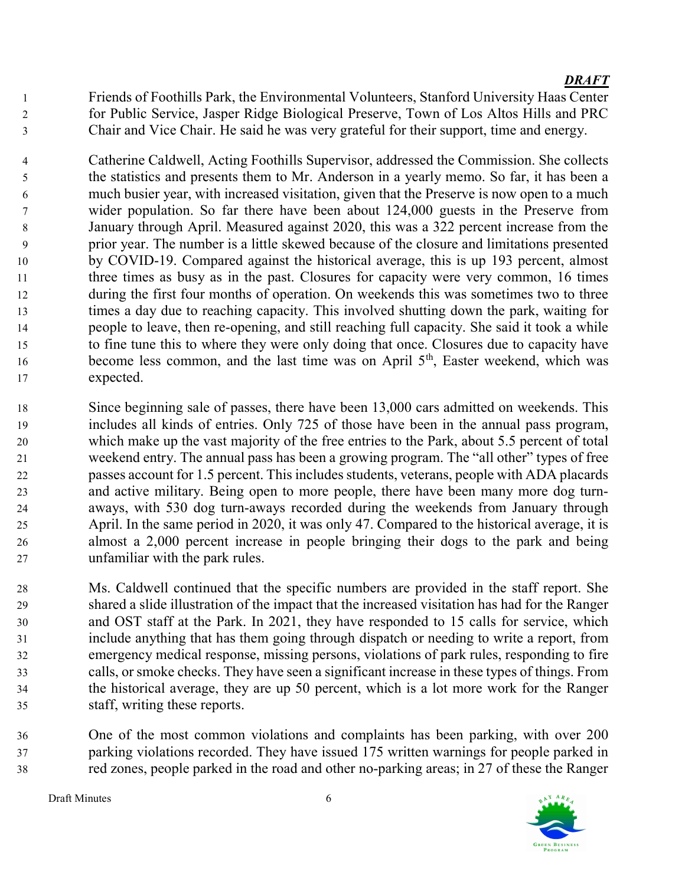Friends of Foothills Park, the Environmental Volunteers, Stanford University Haas Center for Public Service, Jasper Ridge Biological Preserve, Town of Los Altos Hills and PRC Chair and Vice Chair. He said he was very grateful for their support, time and energy.

Catherine Caldwell, Acting Foothills Supervisor, addressed the Commission. She collects the statistics and presents them to Mr. Anderson in a yearly memo. So far, it has been a much busier year, with increased visitation, given that the Preserve is now open to a much wider population. So far there have been about 124,000 guests in the Preserve from January through April. Measured against 2020, this was a 322 percent increase from the prior year. The number is a little skewed because of the closure and limitations presented by COVID-19. Compared against the historical average, this is up 193 percent, almost 11 three times as busy as in the past. Closures for capacity were very common, 16 times during the first four months of operation. On weekends this was sometimes two to three times a day due to reaching capacity. This involved shutting down the park, waiting for people to leave, then re-opening, and still reaching full capacity. She said it took a while to fine tune this to where they were only doing that once. Closures due to capacity have become less common, and the last time was on April  $5<sup>th</sup>$ , Easter weekend, which was expected.

Since beginning sale of passes, there have been 13,000 cars admitted on weekends. This includes all kinds of entries. Only 725 of those have been in the annual pass program, which make up the vast majority of the free entries to the Park, about 5.5 percent of total weekend entry. The annual pass has been a growing program. The "all other" types of free passes account for 1.5 percent. This includes students, veterans, people with ADA placards and active military. Being open to more people, there have been many more dog turn-aways, with 530 dog turn-aways recorded during the weekends from January through April. In the same period in 2020, it was only 47. Compared to the historical average, it is almost a 2,000 percent increase in people bringing their dogs to the park and being unfamiliar with the park rules.

Ms. Caldwell continued that the specific numbers are provided in the staff report. She shared a slide illustration of the impact that the increased visitation has had for the Ranger and OST staff at the Park. In 2021, they have responded to 15 calls for service, which include anything that has them going through dispatch or needing to write a report, from emergency medical response, missing persons, violations of park rules, responding to fire calls, or smoke checks. They have seen a significant increase in these types of things. From the historical average, they are up 50 percent, which is a lot more work for the Ranger staff, writing these reports.

One of the most common violations and complaints has been parking, with over 200 parking violations recorded. They have issued 175 written warnings for people parked in red zones, people parked in the road and other no-parking areas; in 27 of these the Ranger

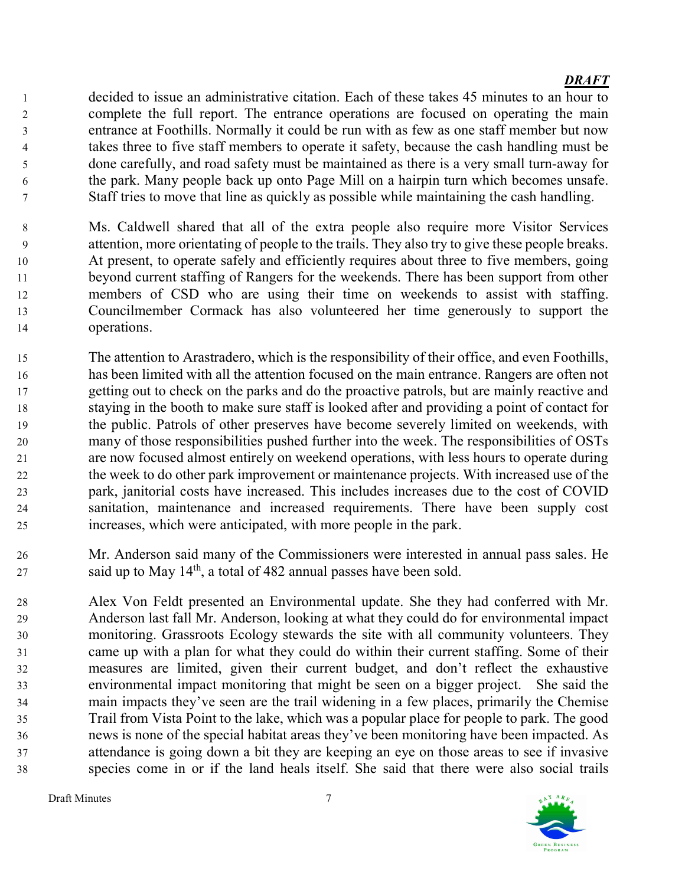decided to issue an administrative citation. Each of these takes 45 minutes to an hour to complete the full report. The entrance operations are focused on operating the main entrance at Foothills. Normally it could be run with as few as one staff member but now takes three to five staff members to operate it safety, because the cash handling must be done carefully, and road safety must be maintained as there is a very small turn-away for the park. Many people back up onto Page Mill on a hairpin turn which becomes unsafe. Staff tries to move that line as quickly as possible while maintaining the cash handling.

- Ms. Caldwell shared that all of the extra people also require more Visitor Services attention, more orientating of people to the trails. They also try to give these people breaks. At present, to operate safely and efficiently requires about three to five members, going beyond current staffing of Rangers for the weekends. There has been support from other members of CSD who are using their time on weekends to assist with staffing. Councilmember Cormack has also volunteered her time generously to support the operations.
- The attention to Arastradero, which is the responsibility of their office, and even Foothills, has been limited with all the attention focused on the main entrance. Rangers are often not getting out to check on the parks and do the proactive patrols, but are mainly reactive and staying in the booth to make sure staff is looked after and providing a point of contact for the public. Patrols of other preserves have become severely limited on weekends, with many of those responsibilities pushed further into the week. The responsibilities of OSTs are now focused almost entirely on weekend operations, with less hours to operate during the week to do other park improvement or maintenance projects. With increased use of the park, janitorial costs have increased. This includes increases due to the cost of COVID sanitation, maintenance and increased requirements. There have been supply cost increases, which were anticipated, with more people in the park.
- Mr. Anderson said many of the Commissioners were interested in annual pass sales. He said up to May 14<sup>th</sup>, a total of 482 annual passes have been sold.
- Alex Von Feldt presented an Environmental update. She they had conferred with Mr. Anderson last fall Mr. Anderson, looking at what they could do for environmental impact monitoring. Grassroots Ecology stewards the site with all community volunteers. They came up with a plan for what they could do within their current staffing. Some of their measures are limited, given their current budget, and don't reflect the exhaustive environmental impact monitoring that might be seen on a bigger project. She said the main impacts they've seen are the trail widening in a few places, primarily the Chemise Trail from Vista Point to the lake, which was a popular place for people to park. The good news is none of the special habitat areas they've been monitoring have been impacted. As attendance is going down a bit they are keeping an eye on those areas to see if invasive species come in or if the land heals itself. She said that there were also social trails

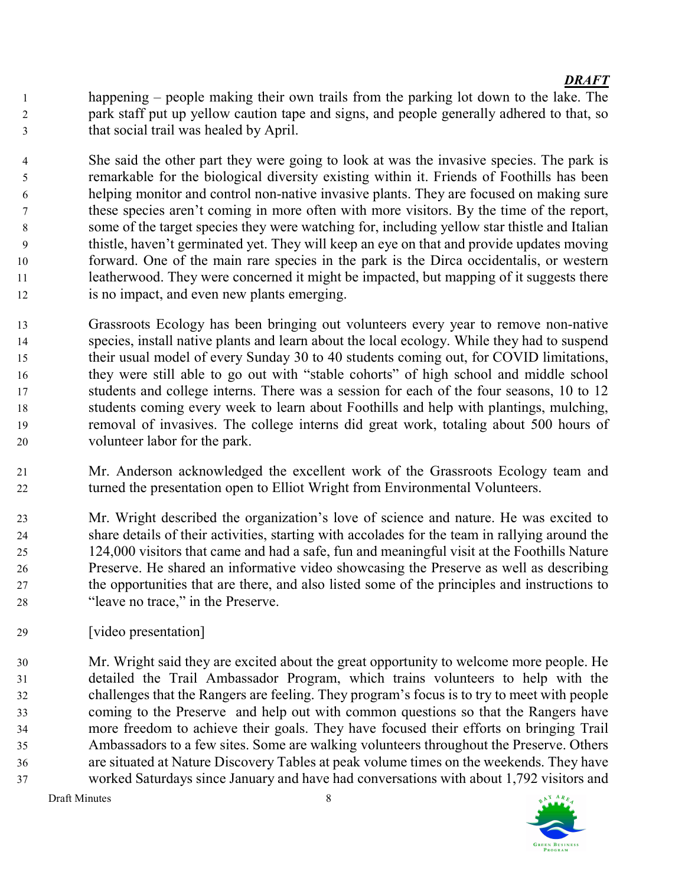- happening people making their own trails from the parking lot down to the lake. The park staff put up yellow caution tape and signs, and people generally adhered to that, so that social trail was healed by April.
- She said the other part they were going to look at was the invasive species. The park is remarkable for the biological diversity existing within it. Friends of Foothills has been helping monitor and control non-native invasive plants. They are focused on making sure these species aren't coming in more often with more visitors. By the time of the report, some of the target species they were watching for, including yellow star thistle and Italian thistle, haven't germinated yet. They will keep an eye on that and provide updates moving forward. One of the main rare species in the park is the Dirca occidentalis, or western 11 leatherwood. They were concerned it might be impacted, but mapping of it suggests there is no impact, and even new plants emerging.
- Grassroots Ecology has been bringing out volunteers every year to remove non-native species, install native plants and learn about the local ecology. While they had to suspend their usual model of every Sunday 30 to 40 students coming out, for COVID limitations, they were still able to go out with "stable cohorts" of high school and middle school students and college interns. There was a session for each of the four seasons, 10 to 12 students coming every week to learn about Foothills and help with plantings, mulching, removal of invasives. The college interns did great work, totaling about 500 hours of volunteer labor for the park.
- Mr. Anderson acknowledged the excellent work of the Grassroots Ecology team and turned the presentation open to Elliot Wright from Environmental Volunteers.
- Mr. Wright described the organization's love of science and nature. He was excited to share details of their activities, starting with accolades for the team in rallying around the 124,000 visitors that came and had a safe, fun and meaningful visit at the Foothills Nature Preserve. He shared an informative video showcasing the Preserve as well as describing the opportunities that are there, and also listed some of the principles and instructions to "leave no trace," in the Preserve.
- [video presentation]
- Mr. Wright said they are excited about the great opportunity to welcome more people. He detailed the Trail Ambassador Program, which trains volunteers to help with the challenges that the Rangers are feeling. They program's focus is to try to meet with people coming to the Preserve and help out with common questions so that the Rangers have more freedom to achieve their goals. They have focused their efforts on bringing Trail Ambassadors to a few sites. Some are walking volunteers throughout the Preserve. Others are situated at Nature Discovery Tables at peak volume times on the weekends. They have worked Saturdays since January and have had conversations with about 1,792 visitors and

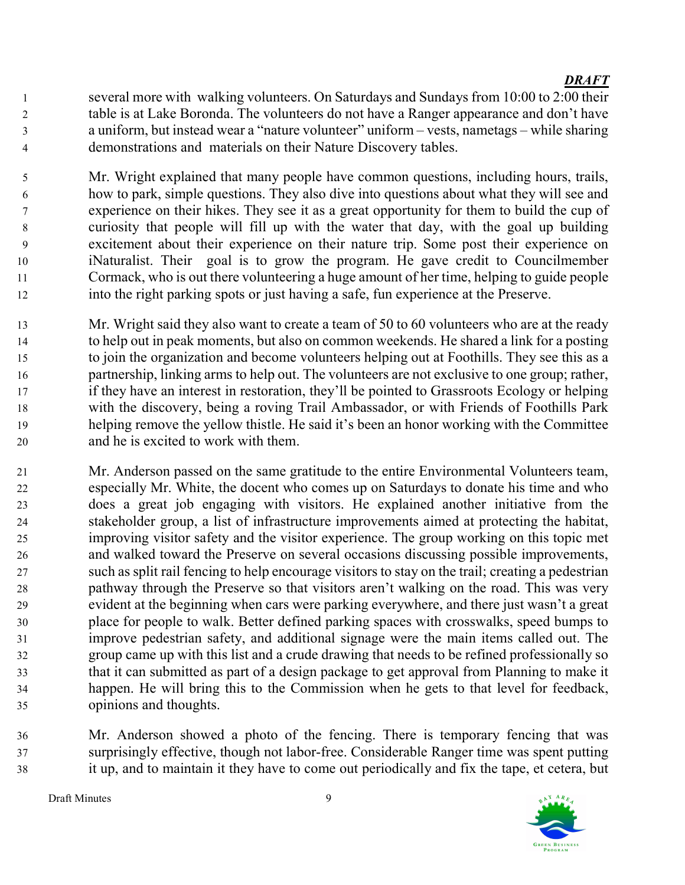several more with walking volunteers. On Saturdays and Sundays from 10:00 to 2:00 their table is at Lake Boronda. The volunteers do not have a Ranger appearance and don't have a uniform, but instead wear a "nature volunteer" uniform – vests, nametags – while sharing demonstrations and materials on their Nature Discovery tables.

Mr. Wright explained that many people have common questions, including hours, trails, how to park, simple questions. They also dive into questions about what they will see and experience on their hikes. They see it as a great opportunity for them to build the cup of curiosity that people will fill up with the water that day, with the goal up building excitement about their experience on their nature trip. Some post their experience on iNaturalist. Their goal is to grow the program. He gave credit to Councilmember Cormack, who is out there volunteering a huge amount of her time, helping to guide people into the right parking spots or just having a safe, fun experience at the Preserve.

Mr. Wright said they also want to create a team of 50 to 60 volunteers who are at the ready to help out in peak moments, but also on common weekends. He shared a link for a posting to join the organization and become volunteers helping out at Foothills. They see this as a partnership, linking arms to help out. The volunteers are not exclusive to one group; rather, if they have an interest in restoration, they'll be pointed to Grassroots Ecology or helping with the discovery, being a roving Trail Ambassador, or with Friends of Foothills Park helping remove the yellow thistle. He said it's been an honor working with the Committee and he is excited to work with them.

Mr. Anderson passed on the same gratitude to the entire Environmental Volunteers team, especially Mr. White, the docent who comes up on Saturdays to donate his time and who does a great job engaging with visitors. He explained another initiative from the stakeholder group, a list of infrastructure improvements aimed at protecting the habitat, improving visitor safety and the visitor experience. The group working on this topic met and walked toward the Preserve on several occasions discussing possible improvements, such as split rail fencing to help encourage visitors to stay on the trail; creating a pedestrian pathway through the Preserve so that visitors aren't walking on the road. This was very evident at the beginning when cars were parking everywhere, and there just wasn't a great place for people to walk. Better defined parking spaces with crosswalks, speed bumps to improve pedestrian safety, and additional signage were the main items called out. The group came up with this list and a crude drawing that needs to be refined professionally so that it can submitted as part of a design package to get approval from Planning to make it happen. He will bring this to the Commission when he gets to that level for feedback, opinions and thoughts.

Mr. Anderson showed a photo of the fencing. There is temporary fencing that was surprisingly effective, though not labor-free. Considerable Ranger time was spent putting it up, and to maintain it they have to come out periodically and fix the tape, et cetera, but

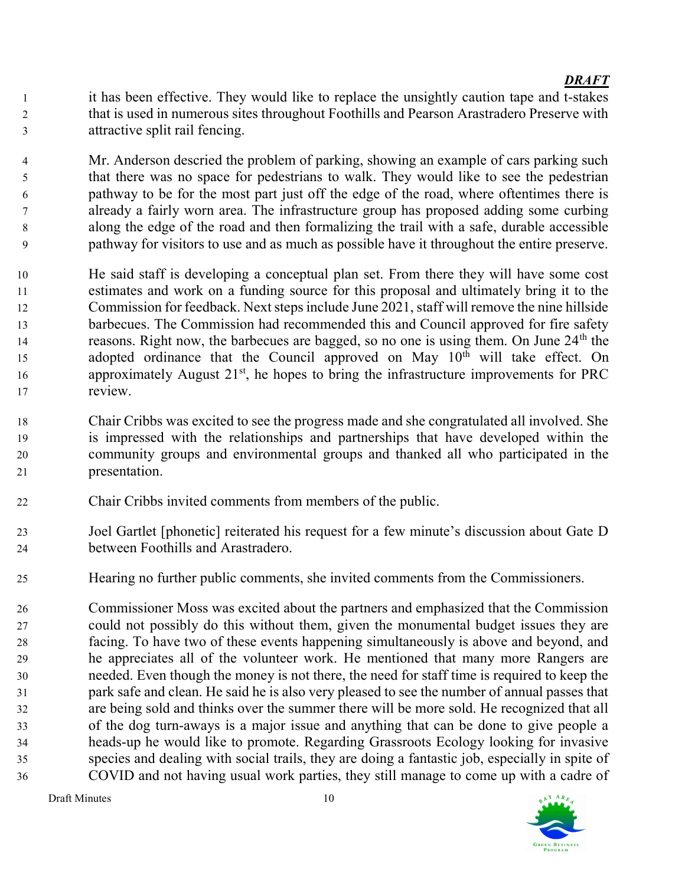- it has been effective. They would like to replace the unsightly caution tape and t-stakes that is used in numerous sites throughout Foothills and Pearson Arastradero Preserve with attractive split rail fencing.
- Mr. Anderson descried the problem of parking, showing an example of cars parking such that there was no space for pedestrians to walk. They would like to see the pedestrian pathway to be for the most part just off the edge of the road, where oftentimes there is already a fairly worn area. The infrastructure group has proposed adding some curbing along the edge of the road and then formalizing the trail with a safe, durable accessible pathway for visitors to use and as much as possible have it throughout the entire preserve.
- He said staff is developing a conceptual plan set. From there they will have some cost estimates and work on a funding source for this proposal and ultimately bring it to the Commission for feedback. Next steps include June 2021, staff will remove the nine hillside barbecues. The Commission had recommended this and Council approved for fire safety reasons. Right now, the barbecues are bagged, so no one is using them. On June  $24<sup>th</sup>$  the 15 adopted ordinance that the Council approved on May  $10<sup>th</sup>$  will take effect. On 16 approximately August  $21<sup>st</sup>$ , he hopes to bring the infrastructure improvements for PRC review.
- Chair Cribbs was excited to see the progress made and she congratulated all involved. She is impressed with the relationships and partnerships that have developed within the community groups and environmental groups and thanked all who participated in the presentation.
- Chair Cribbs invited comments from members of the public.
- Joel Gartlet [phonetic] reiterated his request for a few minute's discussion about Gate D between Foothills and Arastradero.
- Hearing no further public comments, she invited comments from the Commissioners.
- Commissioner Moss was excited about the partners and emphasized that the Commission could not possibly do this without them, given the monumental budget issues they are facing. To have two of these events happening simultaneously is above and beyond, and he appreciates all of the volunteer work. He mentioned that many more Rangers are needed. Even though the money is not there, the need for staff time is required to keep the park safe and clean. He said he is also very pleased to see the number of annual passes that are being sold and thinks over the summer there will be more sold. He recognized that all of the dog turn-aways is a major issue and anything that can be done to give people a heads-up he would like to promote. Regarding Grassroots Ecology looking for invasive species and dealing with social trails, they are doing a fantastic job, especially in spite of COVID and not having usual work parties, they still manage to come up with a cadre of



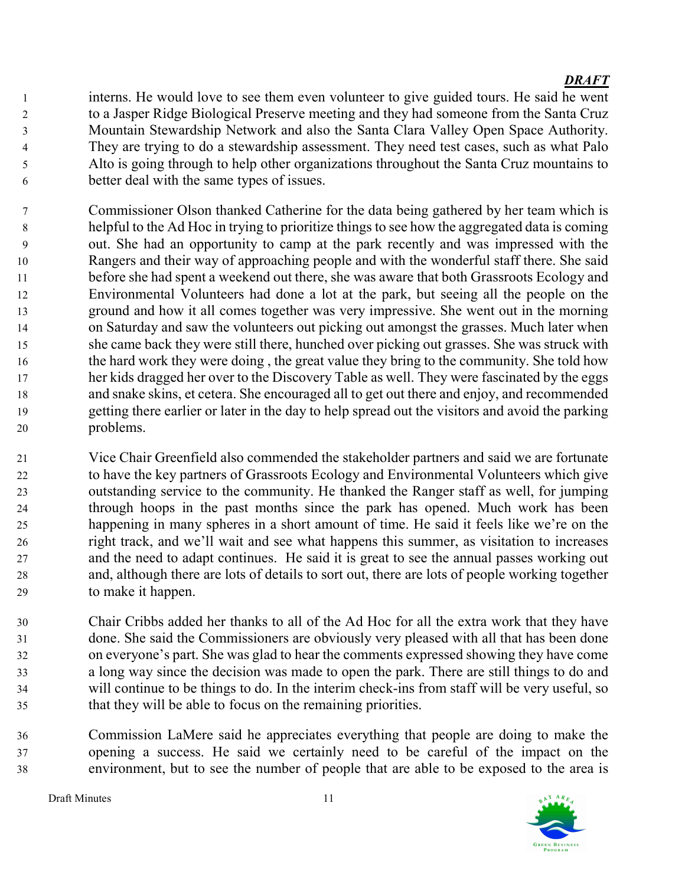interns. He would love to see them even volunteer to give guided tours. He said he went to a Jasper Ridge Biological Preserve meeting and they had someone from the Santa Cruz Mountain Stewardship Network and also the Santa Clara Valley Open Space Authority. They are trying to do a stewardship assessment. They need test cases, such as what Palo Alto is going through to help other organizations throughout the Santa Cruz mountains to better deal with the same types of issues.

Commissioner Olson thanked Catherine for the data being gathered by her team which is helpful to the Ad Hoc in trying to prioritize things to see how the aggregated data is coming out. She had an opportunity to camp at the park recently and was impressed with the Rangers and their way of approaching people and with the wonderful staff there. She said before she had spent a weekend out there, she was aware that both Grassroots Ecology and Environmental Volunteers had done a lot at the park, but seeing all the people on the ground and how it all comes together was very impressive. She went out in the morning on Saturday and saw the volunteers out picking out amongst the grasses. Much later when she came back they were still there, hunched over picking out grasses. She was struck with the hard work they were doing , the great value they bring to the community. She told how her kids dragged her over to the Discovery Table as well. They were fascinated by the eggs and snake skins, et cetera. She encouraged all to get out there and enjoy, and recommended getting there earlier or later in the day to help spread out the visitors and avoid the parking problems.

Vice Chair Greenfield also commended the stakeholder partners and said we are fortunate to have the key partners of Grassroots Ecology and Environmental Volunteers which give outstanding service to the community. He thanked the Ranger staff as well, for jumping through hoops in the past months since the park has opened. Much work has been happening in many spheres in a short amount of time. He said it feels like we're on the right track, and we'll wait and see what happens this summer, as visitation to increases and the need to adapt continues. He said it is great to see the annual passes working out and, although there are lots of details to sort out, there are lots of people working together to make it happen.

Chair Cribbs added her thanks to all of the Ad Hoc for all the extra work that they have done. She said the Commissioners are obviously very pleased with all that has been done on everyone's part. She was glad to hear the comments expressed showing they have come a long way since the decision was made to open the park. There are still things to do and will continue to be things to do. In the interim check-ins from staff will be very useful, so that they will be able to focus on the remaining priorities.

Commission LaMere said he appreciates everything that people are doing to make the opening a success. He said we certainly need to be careful of the impact on the environment, but to see the number of people that are able to be exposed to the area is

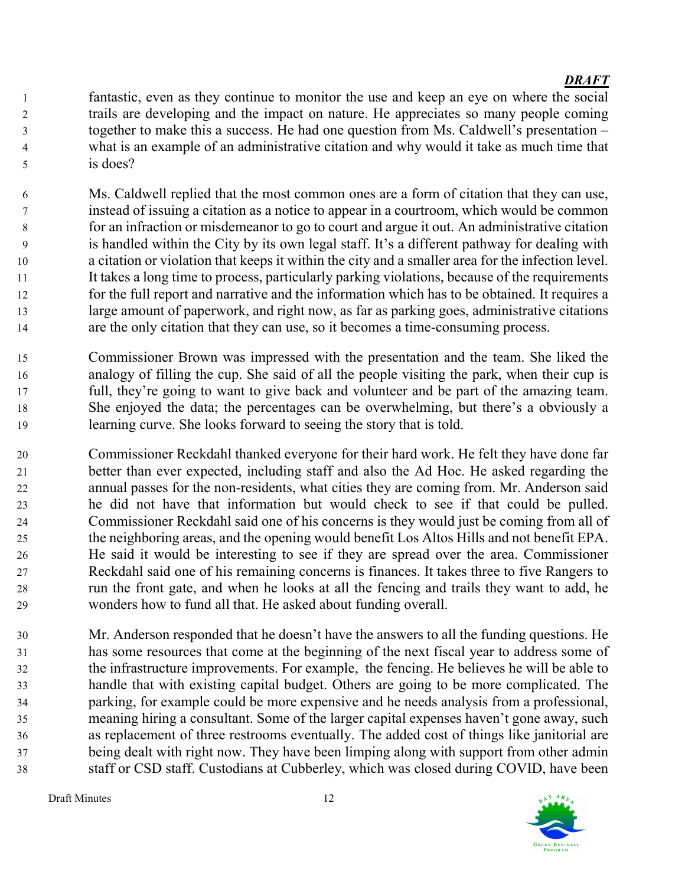fantastic, even as they continue to monitor the use and keep an eye on where the social trails are developing and the impact on nature. He appreciates so many people coming together to make this a success. He had one question from Ms. Caldwell's presentation – what is an example of an administrative citation and why would it take as much time that is does?

Ms. Caldwell replied that the most common ones are a form of citation that they can use, instead of issuing a citation as a notice to appear in a courtroom, which would be common for an infraction or misdemeanor to go to court and argue it out. An administrative citation is handled within the City by its own legal staff. It's a different pathway for dealing with a citation or violation that keeps it within the city and a smaller area for the infection level. It takes a long time to process, particularly parking violations, because of the requirements for the full report and narrative and the information which has to be obtained. It requires a large amount of paperwork, and right now, as far as parking goes, administrative citations are the only citation that they can use, so it becomes a time-consuming process.

- Commissioner Brown was impressed with the presentation and the team. She liked the analogy of filling the cup. She said of all the people visiting the park, when their cup is full, they're going to want to give back and volunteer and be part of the amazing team. She enjoyed the data; the percentages can be overwhelming, but there's a obviously a learning curve. She looks forward to seeing the story that is told.
- Commissioner Reckdahl thanked everyone for their hard work. He felt they have done far better than ever expected, including staff and also the Ad Hoc. He asked regarding the annual passes for the non-residents, what cities they are coming from. Mr. Anderson said he did not have that information but would check to see if that could be pulled. Commissioner Reckdahl said one of his concerns is they would just be coming from all of the neighboring areas, and the opening would benefit Los Altos Hills and not benefit EPA. He said it would be interesting to see if they are spread over the area. Commissioner Reckdahl said one of his remaining concerns is finances. It takes three to five Rangers to run the front gate, and when he looks at all the fencing and trails they want to add, he wonders how to fund all that. He asked about funding overall.
- Mr. Anderson responded that he doesn't have the answers to all the funding questions. He has some resources that come at the beginning of the next fiscal year to address some of the infrastructure improvements. For example, the fencing. He believes he will be able to handle that with existing capital budget. Others are going to be more complicated. The parking, for example could be more expensive and he needs analysis from a professional, meaning hiring a consultant. Some of the larger capital expenses haven't gone away, such as replacement of three restrooms eventually. The added cost of things like janitorial are being dealt with right now. They have been limping along with support from other admin staff or CSD staff. Custodians at Cubberley, which was closed during COVID, have been

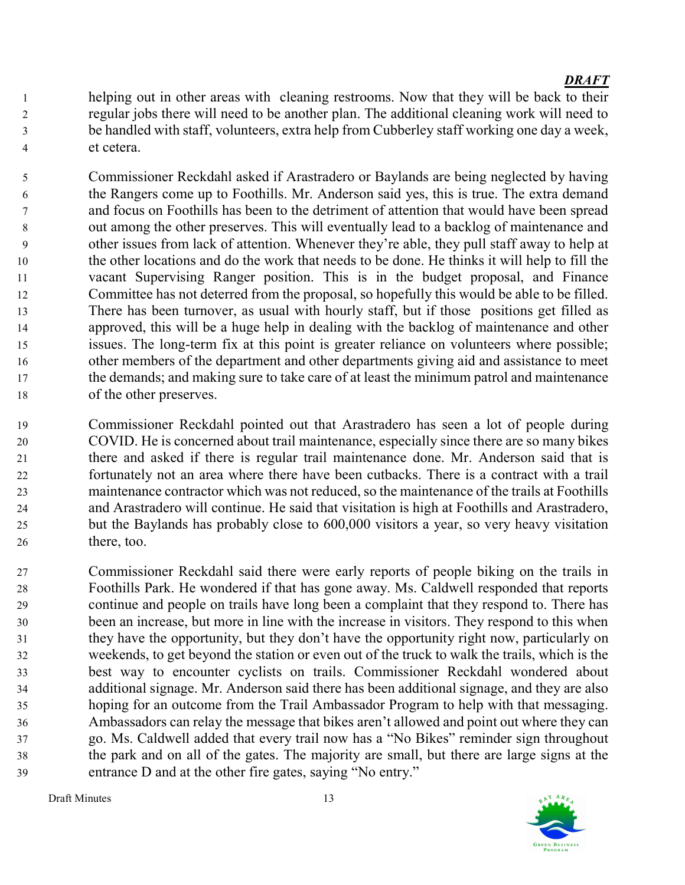helping out in other areas with cleaning restrooms. Now that they will be back to their regular jobs there will need to be another plan. The additional cleaning work will need to be handled with staff, volunteers, extra help from Cubberley staff working one day a week, et cetera.

Commissioner Reckdahl asked if Arastradero or Baylands are being neglected by having the Rangers come up to Foothills. Mr. Anderson said yes, this is true. The extra demand and focus on Foothills has been to the detriment of attention that would have been spread out among the other preserves. This will eventually lead to a backlog of maintenance and other issues from lack of attention. Whenever they're able, they pull staff away to help at the other locations and do the work that needs to be done. He thinks it will help to fill the vacant Supervising Ranger position. This is in the budget proposal, and Finance Committee has not deterred from the proposal, so hopefully this would be able to be filled. There has been turnover, as usual with hourly staff, but if those positions get filled as approved, this will be a huge help in dealing with the backlog of maintenance and other issues. The long-term fix at this point is greater reliance on volunteers where possible; other members of the department and other departments giving aid and assistance to meet the demands; and making sure to take care of at least the minimum patrol and maintenance of the other preserves.

Commissioner Reckdahl pointed out that Arastradero has seen a lot of people during COVID. He is concerned about trail maintenance, especially since there are so many bikes there and asked if there is regular trail maintenance done. Mr. Anderson said that is fortunately not an area where there have been cutbacks. There is a contract with a trail maintenance contractor which was not reduced, so the maintenance of the trails at Foothills and Arastradero will continue. He said that visitation is high at Foothills and Arastradero, but the Baylands has probably close to 600,000 visitors a year, so very heavy visitation there, too.

Commissioner Reckdahl said there were early reports of people biking on the trails in Foothills Park. He wondered if that has gone away. Ms. Caldwell responded that reports continue and people on trails have long been a complaint that they respond to. There has been an increase, but more in line with the increase in visitors. They respond to this when they have the opportunity, but they don't have the opportunity right now, particularly on weekends, to get beyond the station or even out of the truck to walk the trails, which is the best way to encounter cyclists on trails. Commissioner Reckdahl wondered about additional signage. Mr. Anderson said there has been additional signage, and they are also hoping for an outcome from the Trail Ambassador Program to help with that messaging. Ambassadors can relay the message that bikes aren't allowed and point out where they can go. Ms. Caldwell added that every trail now has a "No Bikes" reminder sign throughout the park and on all of the gates. The majority are small, but there are large signs at the entrance D and at the other fire gates, saying "No entry."

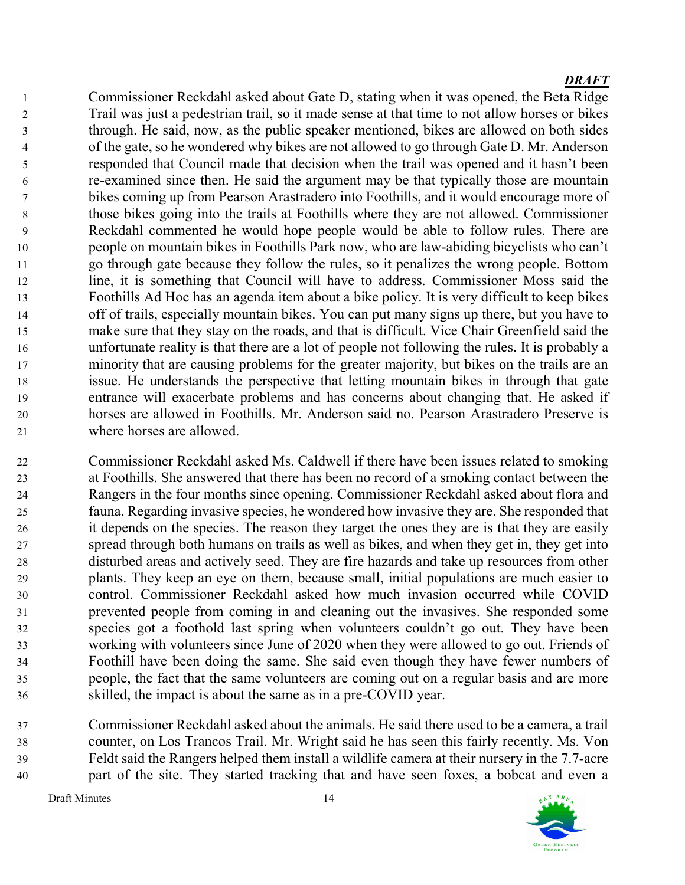Commissioner Reckdahl asked about Gate D, stating when it was opened, the Beta Ridge Trail was just a pedestrian trail, so it made sense at that time to not allow horses or bikes through. He said, now, as the public speaker mentioned, bikes are allowed on both sides of the gate, so he wondered why bikes are not allowed to go through Gate D. Mr. Anderson responded that Council made that decision when the trail was opened and it hasn't been re-examined since then. He said the argument may be that typically those are mountain bikes coming up from Pearson Arastradero into Foothills, and it would encourage more of those bikes going into the trails at Foothills where they are not allowed. Commissioner Reckdahl commented he would hope people would be able to follow rules. There are people on mountain bikes in Foothills Park now, who are law-abiding bicyclists who can't go through gate because they follow the rules, so it penalizes the wrong people. Bottom line, it is something that Council will have to address. Commissioner Moss said the Foothills Ad Hoc has an agenda item about a bike policy. It is very difficult to keep bikes off of trails, especially mountain bikes. You can put many signs up there, but you have to make sure that they stay on the roads, and that is difficult. Vice Chair Greenfield said the unfortunate reality is that there are a lot of people not following the rules. It is probably a minority that are causing problems for the greater majority, but bikes on the trails are an issue. He understands the perspective that letting mountain bikes in through that gate entrance will exacerbate problems and has concerns about changing that. He asked if horses are allowed in Foothills. Mr. Anderson said no. Pearson Arastradero Preserve is where horses are allowed.

Commissioner Reckdahl asked Ms. Caldwell if there have been issues related to smoking at Foothills. She answered that there has been no record of a smoking contact between the Rangers in the four months since opening. Commissioner Reckdahl asked about flora and fauna. Regarding invasive species, he wondered how invasive they are. She responded that it depends on the species. The reason they target the ones they are is that they are easily spread through both humans on trails as well as bikes, and when they get in, they get into disturbed areas and actively seed. They are fire hazards and take up resources from other plants. They keep an eye on them, because small, initial populations are much easier to control. Commissioner Reckdahl asked how much invasion occurred while COVID prevented people from coming in and cleaning out the invasives. She responded some species got a foothold last spring when volunteers couldn't go out. They have been working with volunteers since June of 2020 when they were allowed to go out. Friends of Foothill have been doing the same. She said even though they have fewer numbers of people, the fact that the same volunteers are coming out on a regular basis and are more skilled, the impact is about the same as in a pre-COVID year.

Commissioner Reckdahl asked about the animals. He said there used to be a camera, a trail counter, on Los Trancos Trail. Mr. Wright said he has seen this fairly recently. Ms. Von Feldt said the Rangers helped them install a wildlife camera at their nursery in the 7.7-acre part of the site. They started tracking that and have seen foxes, a bobcat and even a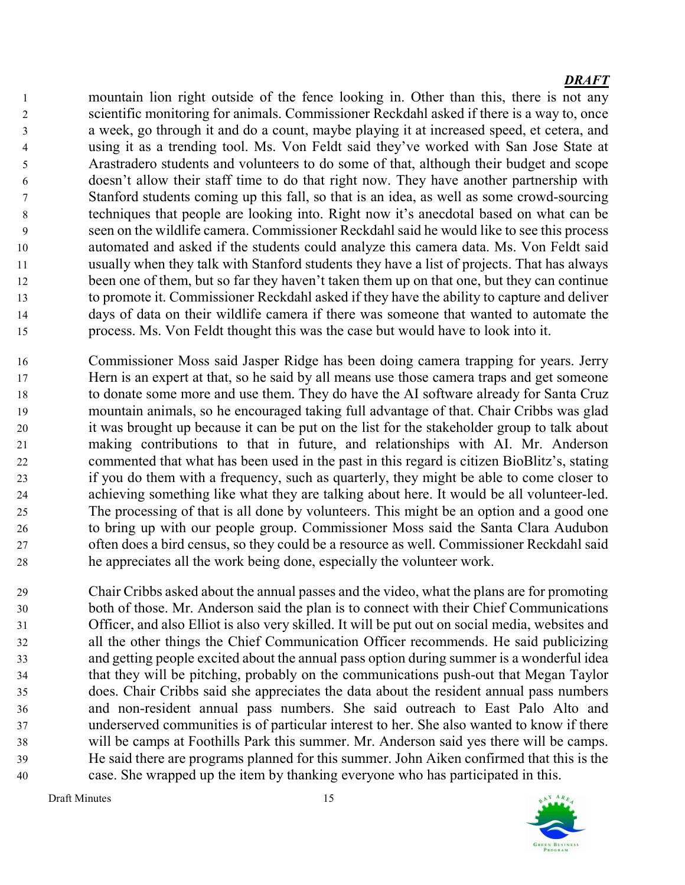mountain lion right outside of the fence looking in. Other than this, there is not any scientific monitoring for animals. Commissioner Reckdahl asked if there is a way to, once a week, go through it and do a count, maybe playing it at increased speed, et cetera, and using it as a trending tool. Ms. Von Feldt said they've worked with San Jose State at Arastradero students and volunteers to do some of that, although their budget and scope doesn't allow their staff time to do that right now. They have another partnership with Stanford students coming up this fall, so that is an idea, as well as some crowd-sourcing techniques that people are looking into. Right now it's anecdotal based on what can be seen on the wildlife camera. Commissioner Reckdahl said he would like to see this process automated and asked if the students could analyze this camera data. Ms. Von Feldt said usually when they talk with Stanford students they have a list of projects. That has always been one of them, but so far they haven't taken them up on that one, but they can continue to promote it. Commissioner Reckdahl asked if they have the ability to capture and deliver days of data on their wildlife camera if there was someone that wanted to automate the process. Ms. Von Feldt thought this was the case but would have to look into it.

- Commissioner Moss said Jasper Ridge has been doing camera trapping for years. Jerry Hern is an expert at that, so he said by all means use those camera traps and get someone to donate some more and use them. They do have the AI software already for Santa Cruz mountain animals, so he encouraged taking full advantage of that. Chair Cribbs was glad it was brought up because it can be put on the list for the stakeholder group to talk about making contributions to that in future, and relationships with AI. Mr. Anderson commented that what has been used in the past in this regard is citizen BioBlitz's, stating if you do them with a frequency, such as quarterly, they might be able to come closer to achieving something like what they are talking about here. It would be all volunteer-led. The processing of that is all done by volunteers. This might be an option and a good one to bring up with our people group. Commissioner Moss said the Santa Clara Audubon often does a bird census, so they could be a resource as well. Commissioner Reckdahl said he appreciates all the work being done, especially the volunteer work.
- Chair Cribbs asked about the annual passes and the video, what the plans are for promoting both of those. Mr. Anderson said the plan is to connect with their Chief Communications Officer, and also Elliot is also very skilled. It will be put out on social media, websites and all the other things the Chief Communication Officer recommends. He said publicizing and getting people excited about the annual pass option during summer is a wonderful idea that they will be pitching, probably on the communications push-out that Megan Taylor does. Chair Cribbs said she appreciates the data about the resident annual pass numbers and non-resident annual pass numbers. She said outreach to East Palo Alto and underserved communities is of particular interest to her. She also wanted to know if there will be camps at Foothills Park this summer. Mr. Anderson said yes there will be camps. He said there are programs planned for this summer. John Aiken confirmed that this is the case. She wrapped up the item by thanking everyone who has participated in this.



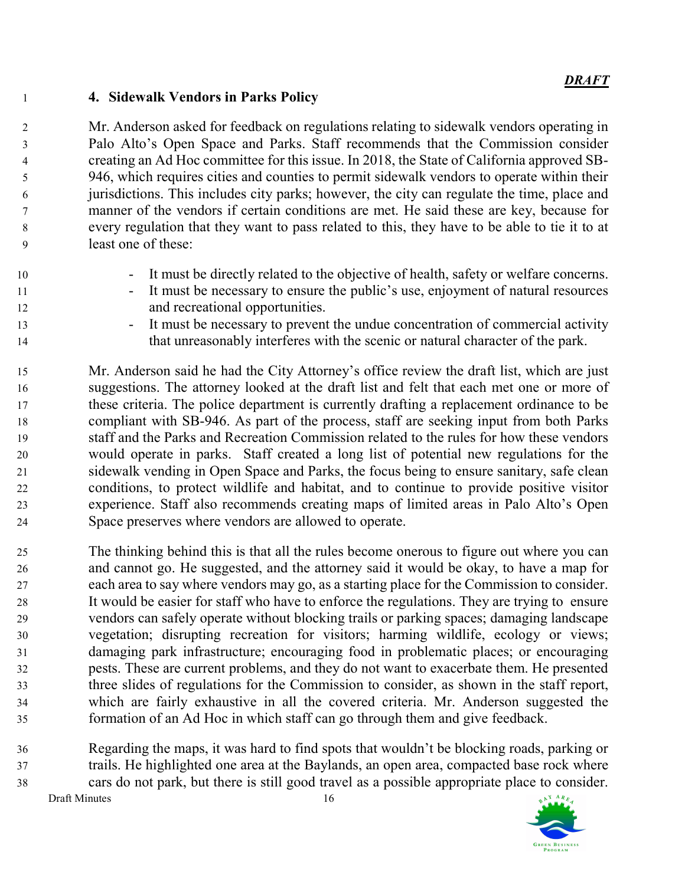### 4. Sidewalk Vendors in Parks Policy

Mr. Anderson asked for feedback on regulations relating to sidewalk vendors operating in Palo Alto's Open Space and Parks. Staff recommends that the Commission consider creating an Ad Hoc committee for this issue. In 2018, the State of California approved SB-946, which requires cities and counties to permit sidewalk vendors to operate within their jurisdictions. This includes city parks; however, the city can regulate the time, place and manner of the vendors if certain conditions are met. He said these are key, because for every regulation that they want to pass related to this, they have to be able to tie it to at least one of these:

- 10 It must be directly related to the objective of health, safety or welfare concerns.
- 11 It must be necessary to ensure the public's use, enjoyment of natural resources 12 and recreational opportunities.
- **13** It must be necessary to prevent the undue concentration of commercial activity 14 that unreasonably interferes with the scenic or natural character of the park.

Mr. Anderson said he had the City Attorney's office review the draft list, which are just suggestions. The attorney looked at the draft list and felt that each met one or more of these criteria. The police department is currently drafting a replacement ordinance to be compliant with SB-946. As part of the process, staff are seeking input from both Parks staff and the Parks and Recreation Commission related to the rules for how these vendors would operate in parks. Staff created a long list of potential new regulations for the sidewalk vending in Open Space and Parks, the focus being to ensure sanitary, safe clean conditions, to protect wildlife and habitat, and to continue to provide positive visitor experience. Staff also recommends creating maps of limited areas in Palo Alto's Open Space preserves where vendors are allowed to operate.

The thinking behind this is that all the rules become onerous to figure out where you can and cannot go. He suggested, and the attorney said it would be okay, to have a map for each area to say where vendors may go, as a starting place for the Commission to consider. It would be easier for staff who have to enforce the regulations. They are trying to ensure vendors can safely operate without blocking trails or parking spaces; damaging landscape vegetation; disrupting recreation for visitors; harming wildlife, ecology or views; damaging park infrastructure; encouraging food in problematic places; or encouraging pests. These are current problems, and they do not want to exacerbate them. He presented three slides of regulations for the Commission to consider, as shown in the staff report, which are fairly exhaustive in all the covered criteria. Mr. Anderson suggested the formation of an Ad Hoc in which staff can go through them and give feedback.

Draft Minutes 16 Regarding the maps, it was hard to find spots that wouldn't be blocking roads, parking or trails. He highlighted one area at the Baylands, an open area, compacted base rock where cars do not park, but there is still good travel as a possible appropriate place to consider.

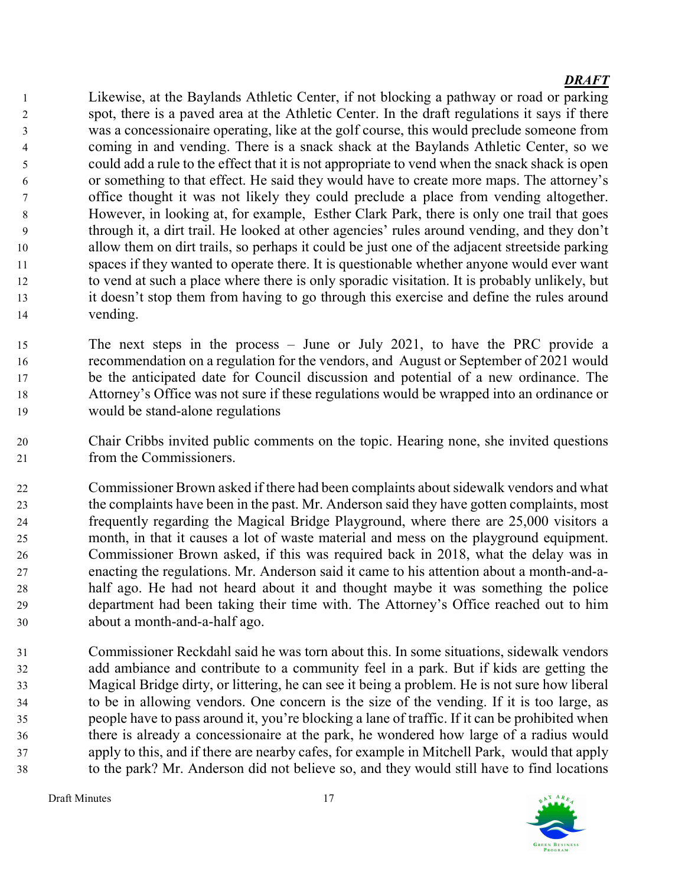Likewise, at the Baylands Athletic Center, if not blocking a pathway or road or parking spot, there is a paved area at the Athletic Center. In the draft regulations it says if there was a concessionaire operating, like at the golf course, this would preclude someone from coming in and vending. There is a snack shack at the Baylands Athletic Center, so we could add a rule to the effect that it is not appropriate to vend when the snack shack is open or something to that effect. He said they would have to create more maps. The attorney's office thought it was not likely they could preclude a place from vending altogether. However, in looking at, for example, Esther Clark Park, there is only one trail that goes through it, a dirt trail. He looked at other agencies' rules around vending, and they don't allow them on dirt trails, so perhaps it could be just one of the adjacent streetside parking spaces if they wanted to operate there. It is questionable whether anyone would ever want to vend at such a place where there is only sporadic visitation. It is probably unlikely, but it doesn't stop them from having to go through this exercise and define the rules around vending.

- The next steps in the process June or July 2021, to have the PRC provide a recommendation on a regulation for the vendors, and August or September of 2021 would be the anticipated date for Council discussion and potential of a new ordinance. The Attorney's Office was not sure if these regulations would be wrapped into an ordinance or would be stand-alone regulations
- Chair Cribbs invited public comments on the topic. Hearing none, she invited questions from the Commissioners.
- Commissioner Brown asked if there had been complaints about sidewalk vendors and what the complaints have been in the past. Mr. Anderson said they have gotten complaints, most frequently regarding the Magical Bridge Playground, where there are 25,000 visitors a month, in that it causes a lot of waste material and mess on the playground equipment. Commissioner Brown asked, if this was required back in 2018, what the delay was in enacting the regulations. Mr. Anderson said it came to his attention about a month-and-a-half ago. He had not heard about it and thought maybe it was something the police department had been taking their time with. The Attorney's Office reached out to him about a month-and-a-half ago.
- Commissioner Reckdahl said he was torn about this. In some situations, sidewalk vendors add ambiance and contribute to a community feel in a park. But if kids are getting the Magical Bridge dirty, or littering, he can see it being a problem. He is not sure how liberal to be in allowing vendors. One concern is the size of the vending. If it is too large, as people have to pass around it, you're blocking a lane of traffic. If it can be prohibited when there is already a concessionaire at the park, he wondered how large of a radius would apply to this, and if there are nearby cafes, for example in Mitchell Park, would that apply to the park? Mr. Anderson did not believe so, and they would still have to find locations

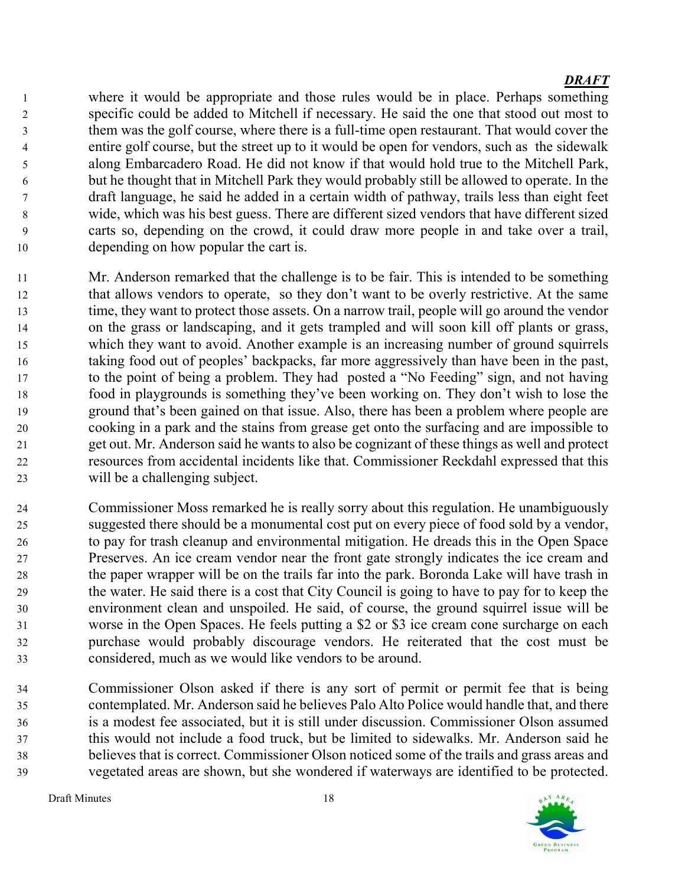where it would be appropriate and those rules would be in place. Perhaps something specific could be added to Mitchell if necessary. He said the one that stood out most to them was the golf course, where there is a full-time open restaurant. That would cover the entire golf course, but the street up to it would be open for vendors, such as the sidewalk along Embarcadero Road. He did not know if that would hold true to the Mitchell Park, but he thought that in Mitchell Park they would probably still be allowed to operate. In the draft language, he said he added in a certain width of pathway, trails less than eight feet wide, which was his best guess. There are different sized vendors that have different sized carts so, depending on the crowd, it could draw more people in and take over a trail, depending on how popular the cart is.

- Mr. Anderson remarked that the challenge is to be fair. This is intended to be something that allows vendors to operate, so they don't want to be overly restrictive. At the same time, they want to protect those assets. On a narrow trail, people will go around the vendor on the grass or landscaping, and it gets trampled and will soon kill off plants or grass, which they want to avoid. Another example is an increasing number of ground squirrels taking food out of peoples' backpacks, far more aggressively than have been in the past, to the point of being a problem. They had posted a "No Feeding" sign, and not having food in playgrounds is something they've been working on. They don't wish to lose the ground that's been gained on that issue. Also, there has been a problem where people are cooking in a park and the stains from grease get onto the surfacing and are impossible to get out. Mr. Anderson said he wants to also be cognizant of these things as well and protect resources from accidental incidents like that. Commissioner Reckdahl expressed that this will be a challenging subject.
- Commissioner Moss remarked he is really sorry about this regulation. He unambiguously suggested there should be a monumental cost put on every piece of food sold by a vendor, to pay for trash cleanup and environmental mitigation. He dreads this in the Open Space Preserves. An ice cream vendor near the front gate strongly indicates the ice cream and the paper wrapper will be on the trails far into the park. Boronda Lake will have trash in the water. He said there is a cost that City Council is going to have to pay for to keep the environment clean and unspoiled. He said, of course, the ground squirrel issue will be worse in the Open Spaces. He feels putting a \$2 or \$3 ice cream cone surcharge on each purchase would probably discourage vendors. He reiterated that the cost must be considered, much as we would like vendors to be around.
- Commissioner Olson asked if there is any sort of permit or permit fee that is being contemplated. Mr. Anderson said he believes Palo Alto Police would handle that, and there is a modest fee associated, but it is still under discussion. Commissioner Olson assumed this would not include a food truck, but be limited to sidewalks. Mr. Anderson said he believes that is correct. Commissioner Olson noticed some of the trails and grass areas and vegetated areas are shown, but she wondered if waterways are identified to be protected.

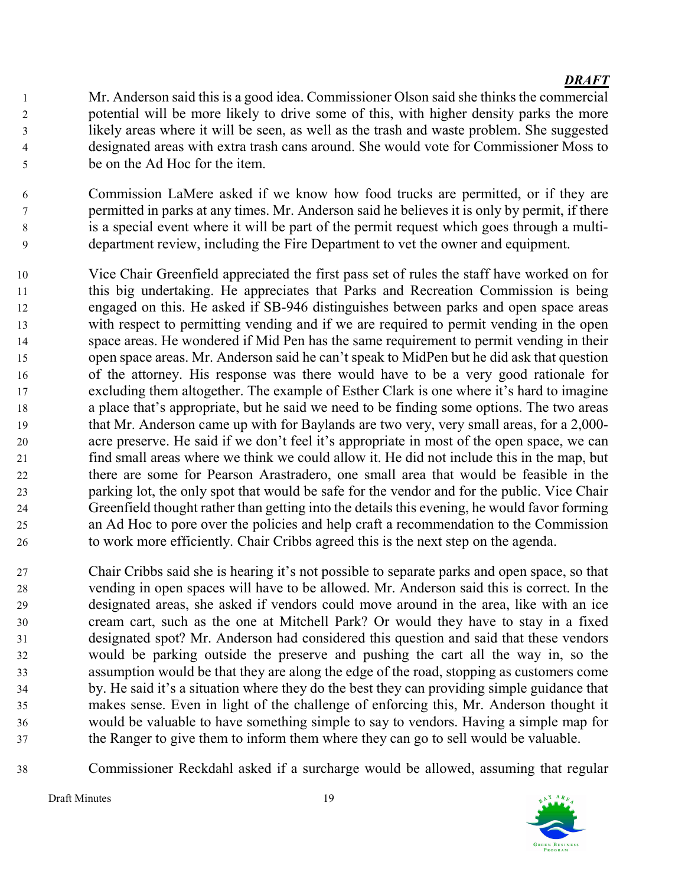Mr. Anderson said this is a good idea. Commissioner Olson said she thinks the commercial potential will be more likely to drive some of this, with higher density parks the more likely areas where it will be seen, as well as the trash and waste problem. She suggested designated areas with extra trash cans around. She would vote for Commissioner Moss to be on the Ad Hoc for the item.

Commission LaMere asked if we know how food trucks are permitted, or if they are permitted in parks at any times. Mr. Anderson said he believes it is only by permit, if there is a special event where it will be part of the permit request which goes through a multi-department review, including the Fire Department to vet the owner and equipment.

- Vice Chair Greenfield appreciated the first pass set of rules the staff have worked on for this big undertaking. He appreciates that Parks and Recreation Commission is being engaged on this. He asked if SB-946 distinguishes between parks and open space areas with respect to permitting vending and if we are required to permit vending in the open space areas. He wondered if Mid Pen has the same requirement to permit vending in their open space areas. Mr. Anderson said he can't speak to MidPen but he did ask that question of the attorney. His response was there would have to be a very good rationale for excluding them altogether. The example of Esther Clark is one where it's hard to imagine a place that's appropriate, but he said we need to be finding some options. The two areas that Mr. Anderson came up with for Baylands are two very, very small areas, for a 2,000- acre preserve. He said if we don't feel it's appropriate in most of the open space, we can find small areas where we think we could allow it. He did not include this in the map, but there are some for Pearson Arastradero, one small area that would be feasible in the parking lot, the only spot that would be safe for the vendor and for the public. Vice Chair Greenfield thought rather than getting into the details this evening, he would favor forming an Ad Hoc to pore over the policies and help craft a recommendation to the Commission to work more efficiently. Chair Cribbs agreed this is the next step on the agenda.
- Chair Cribbs said she is hearing it's not possible to separate parks and open space, so that vending in open spaces will have to be allowed. Mr. Anderson said this is correct. In the designated areas, she asked if vendors could move around in the area, like with an ice cream cart, such as the one at Mitchell Park? Or would they have to stay in a fixed designated spot? Mr. Anderson had considered this question and said that these vendors would be parking outside the preserve and pushing the cart all the way in, so the assumption would be that they are along the edge of the road, stopping as customers come by. He said it's a situation where they do the best they can providing simple guidance that makes sense. Even in light of the challenge of enforcing this, Mr. Anderson thought it would be valuable to have something simple to say to vendors. Having a simple map for the Ranger to give them to inform them where they can go to sell would be valuable.
- Commissioner Reckdahl asked if a surcharge would be allowed, assuming that regular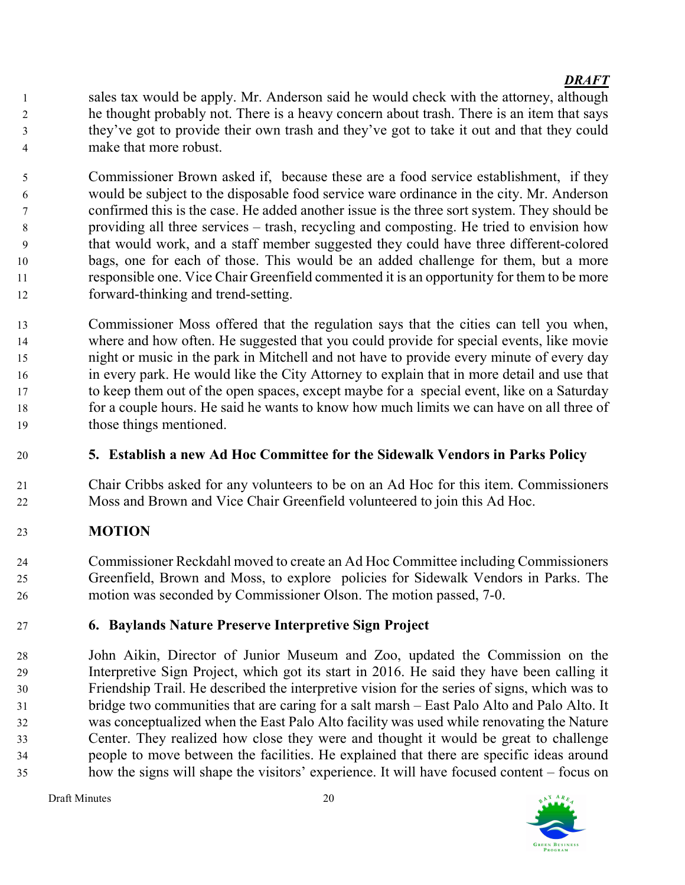sales tax would be apply. Mr. Anderson said he would check with the attorney, although he thought probably not. There is a heavy concern about trash. There is an item that says they've got to provide their own trash and they've got to take it out and that they could make that more robust.

Commissioner Brown asked if, because these are a food service establishment, if they would be subject to the disposable food service ware ordinance in the city. Mr. Anderson confirmed this is the case. He added another issue is the three sort system. They should be providing all three services – trash, recycling and composting. He tried to envision how that would work, and a staff member suggested they could have three different-colored bags, one for each of those. This would be an added challenge for them, but a more responsible one. Vice Chair Greenfield commented it is an opportunity for them to be more forward-thinking and trend-setting.

Commissioner Moss offered that the regulation says that the cities can tell you when, where and how often. He suggested that you could provide for special events, like movie night or music in the park in Mitchell and not have to provide every minute of every day in every park. He would like the City Attorney to explain that in more detail and use that to keep them out of the open spaces, except maybe for a special event, like on a Saturday for a couple hours. He said he wants to know how much limits we can have on all three of those things mentioned.

# 5. Establish a new Ad Hoc Committee for the Sidewalk Vendors in Parks Policy

Chair Cribbs asked for any volunteers to be on an Ad Hoc for this item. Commissioners Moss and Brown and Vice Chair Greenfield volunteered to join this Ad Hoc.

# MOTION

Commissioner Reckdahl moved to create an Ad Hoc Committee including Commissioners Greenfield, Brown and Moss, to explore policies for Sidewalk Vendors in Parks. The motion was seconded by Commissioner Olson. The motion passed, 7-0.

# 6. Baylands Nature Preserve Interpretive Sign Project

John Aikin, Director of Junior Museum and Zoo, updated the Commission on the Interpretive Sign Project, which got its start in 2016. He said they have been calling it Friendship Trail. He described the interpretive vision for the series of signs, which was to bridge two communities that are caring for a salt marsh – East Palo Alto and Palo Alto. It was conceptualized when the East Palo Alto facility was used while renovating the Nature Center. They realized how close they were and thought it would be great to challenge people to move between the facilities. He explained that there are specific ideas around how the signs will shape the visitors' experience. It will have focused content – focus on

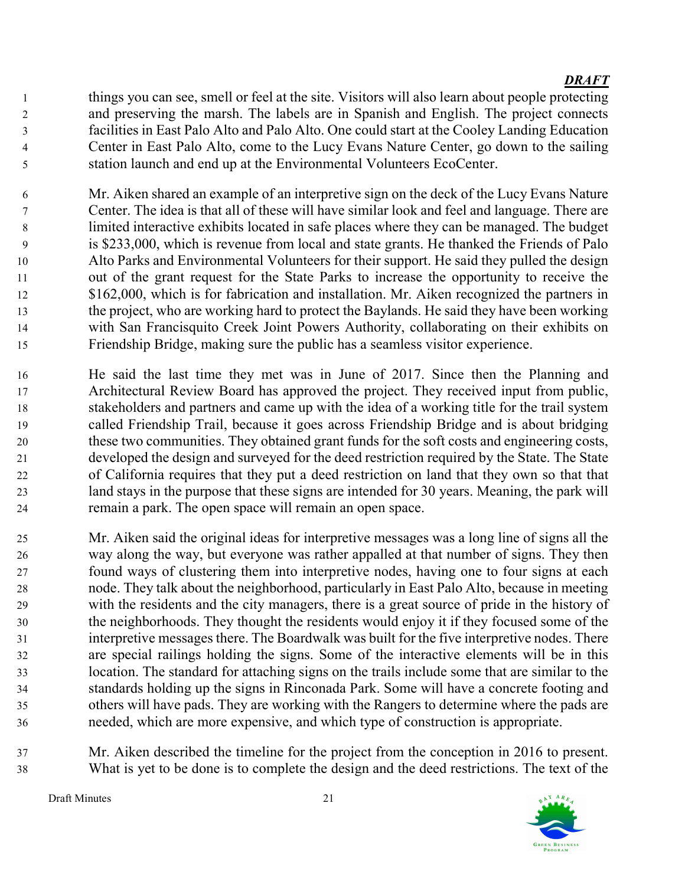things you can see, smell or feel at the site. Visitors will also learn about people protecting and preserving the marsh. The labels are in Spanish and English. The project connects facilities in East Palo Alto and Palo Alto. One could start at the Cooley Landing Education Center in East Palo Alto, come to the Lucy Evans Nature Center, go down to the sailing station launch and end up at the Environmental Volunteers EcoCenter.

Mr. Aiken shared an example of an interpretive sign on the deck of the Lucy Evans Nature Center. The idea is that all of these will have similar look and feel and language. There are limited interactive exhibits located in safe places where they can be managed. The budget is \$233,000, which is revenue from local and state grants. He thanked the Friends of Palo Alto Parks and Environmental Volunteers for their support. He said they pulled the design out of the grant request for the State Parks to increase the opportunity to receive the 12 \$162,000, which is for fabrication and installation. Mr. Aiken recognized the partners in the project, who are working hard to protect the Baylands. He said they have been working with San Francisquito Creek Joint Powers Authority, collaborating on their exhibits on Friendship Bridge, making sure the public has a seamless visitor experience.

- He said the last time they met was in June of 2017. Since then the Planning and Architectural Review Board has approved the project. They received input from public, stakeholders and partners and came up with the idea of a working title for the trail system called Friendship Trail, because it goes across Friendship Bridge and is about bridging these two communities. They obtained grant funds for the soft costs and engineering costs, developed the design and surveyed for the deed restriction required by the State. The State of California requires that they put a deed restriction on land that they own so that that land stays in the purpose that these signs are intended for 30 years. Meaning, the park will remain a park. The open space will remain an open space.
- Mr. Aiken said the original ideas for interpretive messages was a long line of signs all the way along the way, but everyone was rather appalled at that number of signs. They then found ways of clustering them into interpretive nodes, having one to four signs at each node. They talk about the neighborhood, particularly in East Palo Alto, because in meeting with the residents and the city managers, there is a great source of pride in the history of the neighborhoods. They thought the residents would enjoy it if they focused some of the interpretive messages there. The Boardwalk was built for the five interpretive nodes. There are special railings holding the signs. Some of the interactive elements will be in this location. The standard for attaching signs on the trails include some that are similar to the standards holding up the signs in Rinconada Park. Some will have a concrete footing and others will have pads. They are working with the Rangers to determine where the pads are needed, which are more expensive, and which type of construction is appropriate.

Mr. Aiken described the timeline for the project from the conception in 2016 to present. What is yet to be done is to complete the design and the deed restrictions. The text of the

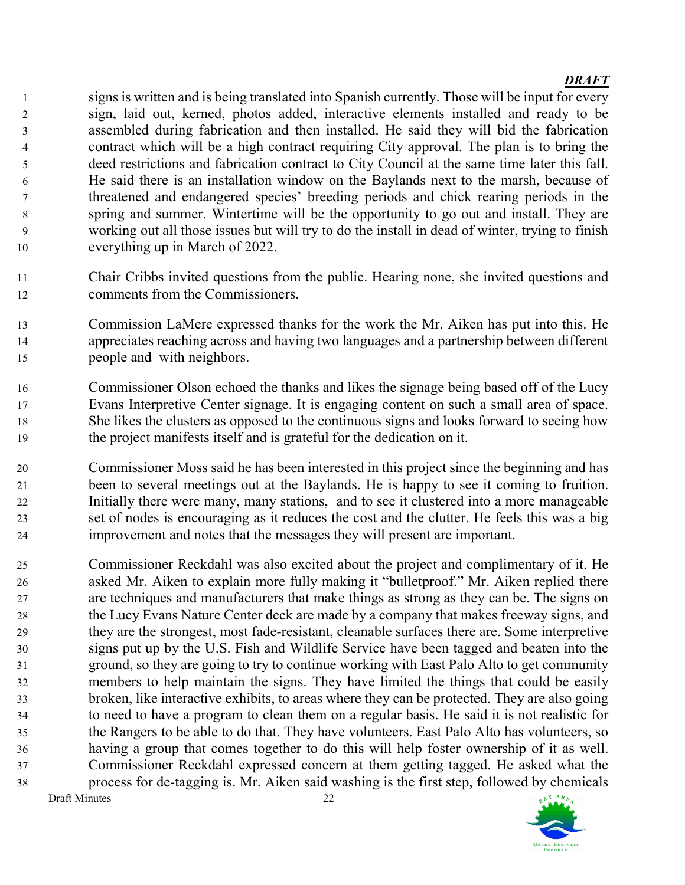signs is written and is being translated into Spanish currently. Those will be input for every sign, laid out, kerned, photos added, interactive elements installed and ready to be assembled during fabrication and then installed. He said they will bid the fabrication contract which will be a high contract requiring City approval. The plan is to bring the deed restrictions and fabrication contract to City Council at the same time later this fall. He said there is an installation window on the Baylands next to the marsh, because of threatened and endangered species' breeding periods and chick rearing periods in the spring and summer. Wintertime will be the opportunity to go out and install. They are working out all those issues but will try to do the install in dead of winter, trying to finish everything up in March of 2022.

- Chair Cribbs invited questions from the public. Hearing none, she invited questions and comments from the Commissioners.
- Commission LaMere expressed thanks for the work the Mr. Aiken has put into this. He appreciates reaching across and having two languages and a partnership between different people and with neighbors.
- Commissioner Olson echoed the thanks and likes the signage being based off of the Lucy Evans Interpretive Center signage. It is engaging content on such a small area of space. She likes the clusters as opposed to the continuous signs and looks forward to seeing how the project manifests itself and is grateful for the dedication on it.
- Commissioner Moss said he has been interested in this project since the beginning and has been to several meetings out at the Baylands. He is happy to see it coming to fruition. Initially there were many, many stations, and to see it clustered into a more manageable set of nodes is encouraging as it reduces the cost and the clutter. He feels this was a big improvement and notes that the messages they will present are important.
- Draft Minutes 22 Commissioner Reckdahl was also excited about the project and complimentary of it. He asked Mr. Aiken to explain more fully making it "bulletproof." Mr. Aiken replied there are techniques and manufacturers that make things as strong as they can be. The signs on the Lucy Evans Nature Center deck are made by a company that makes freeway signs, and they are the strongest, most fade-resistant, cleanable surfaces there are. Some interpretive signs put up by the U.S. Fish and Wildlife Service have been tagged and beaten into the ground, so they are going to try to continue working with East Palo Alto to get community members to help maintain the signs. They have limited the things that could be easily broken, like interactive exhibits, to areas where they can be protected. They are also going to need to have a program to clean them on a regular basis. He said it is not realistic for the Rangers to be able to do that. They have volunteers. East Palo Alto has volunteers, so having a group that comes together to do this will help foster ownership of it as well. Commissioner Reckdahl expressed concern at them getting tagged. He asked what the process for de-tagging is. Mr. Aiken said washing is the first step, followed by chemicals

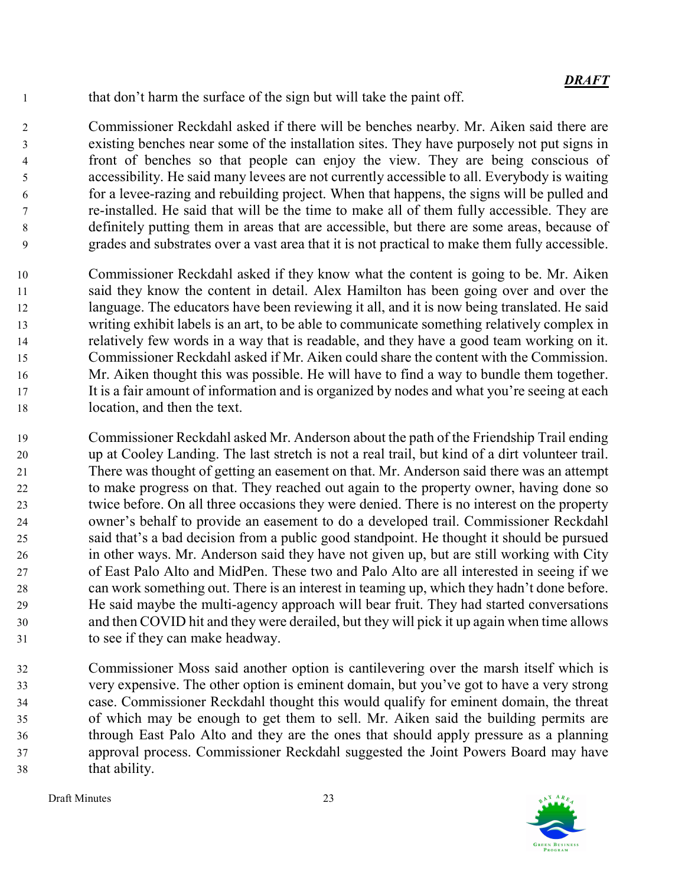that don't harm the surface of the sign but will take the paint off.

Commissioner Reckdahl asked if there will be benches nearby. Mr. Aiken said there are existing benches near some of the installation sites. They have purposely not put signs in front of benches so that people can enjoy the view. They are being conscious of accessibility. He said many levees are not currently accessible to all. Everybody is waiting for a levee-razing and rebuilding project. When that happens, the signs will be pulled and re-installed. He said that will be the time to make all of them fully accessible. They are definitely putting them in areas that are accessible, but there are some areas, because of grades and substrates over a vast area that it is not practical to make them fully accessible.

- Commissioner Reckdahl asked if they know what the content is going to be. Mr. Aiken said they know the content in detail. Alex Hamilton has been going over and over the language. The educators have been reviewing it all, and it is now being translated. He said writing exhibit labels is an art, to be able to communicate something relatively complex in relatively few words in a way that is readable, and they have a good team working on it. Commissioner Reckdahl asked if Mr. Aiken could share the content with the Commission. Mr. Aiken thought this was possible. He will have to find a way to bundle them together. It is a fair amount of information and is organized by nodes and what you're seeing at each location, and then the text.
- Commissioner Reckdahl asked Mr. Anderson about the path of the Friendship Trail ending up at Cooley Landing. The last stretch is not a real trail, but kind of a dirt volunteer trail. There was thought of getting an easement on that. Mr. Anderson said there was an attempt to make progress on that. They reached out again to the property owner, having done so twice before. On all three occasions they were denied. There is no interest on the property owner's behalf to provide an easement to do a developed trail. Commissioner Reckdahl said that's a bad decision from a public good standpoint. He thought it should be pursued in other ways. Mr. Anderson said they have not given up, but are still working with City of East Palo Alto and MidPen. These two and Palo Alto are all interested in seeing if we can work something out. There is an interest in teaming up, which they hadn't done before. He said maybe the multi-agency approach will bear fruit. They had started conversations and then COVID hit and they were derailed, but they will pick it up again when time allows to see if they can make headway.
- Commissioner Moss said another option is cantilevering over the marsh itself which is very expensive. The other option is eminent domain, but you've got to have a very strong case. Commissioner Reckdahl thought this would qualify for eminent domain, the threat of which may be enough to get them to sell. Mr. Aiken said the building permits are through East Palo Alto and they are the ones that should apply pressure as a planning approval process. Commissioner Reckdahl suggested the Joint Powers Board may have that ability.

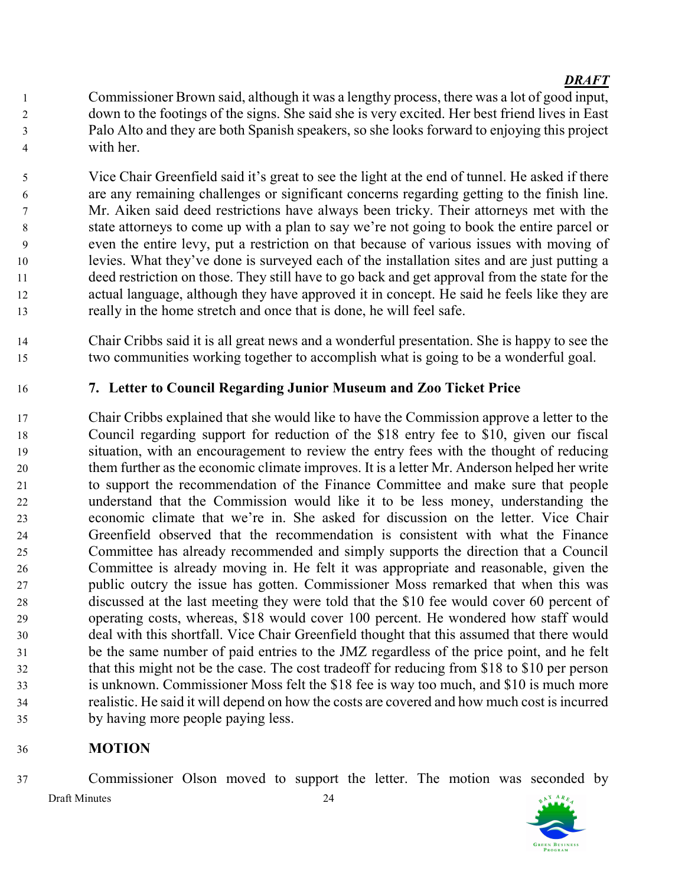Commissioner Brown said, although it was a lengthy process, there was a lot of good input, down to the footings of the signs. She said she is very excited. Her best friend lives in East Palo Alto and they are both Spanish speakers, so she looks forward to enjoying this project with her.

Vice Chair Greenfield said it's great to see the light at the end of tunnel. He asked if there are any remaining challenges or significant concerns regarding getting to the finish line. Mr. Aiken said deed restrictions have always been tricky. Their attorneys met with the state attorneys to come up with a plan to say we're not going to book the entire parcel or even the entire levy, put a restriction on that because of various issues with moving of levies. What they've done is surveyed each of the installation sites and are just putting a deed restriction on those. They still have to go back and get approval from the state for the actual language, although they have approved it in concept. He said he feels like they are really in the home stretch and once that is done, he will feel safe.

Chair Cribbs said it is all great news and a wonderful presentation. She is happy to see the two communities working together to accomplish what is going to be a wonderful goal.

# 7. Letter to Council Regarding Junior Museum and Zoo Ticket Price

Chair Cribbs explained that she would like to have the Commission approve a letter to the Council regarding support for reduction of the \$18 entry fee to \$10, given our fiscal situation, with an encouragement to review the entry fees with the thought of reducing them further as the economic climate improves. It is a letter Mr. Anderson helped her write to support the recommendation of the Finance Committee and make sure that people understand that the Commission would like it to be less money, understanding the economic climate that we're in. She asked for discussion on the letter. Vice Chair Greenfield observed that the recommendation is consistent with what the Finance Committee has already recommended and simply supports the direction that a Council Committee is already moving in. He felt it was appropriate and reasonable, given the public outcry the issue has gotten. Commissioner Moss remarked that when this was discussed at the last meeting they were told that the \$10 fee would cover 60 percent of operating costs, whereas, \$18 would cover 100 percent. He wondered how staff would deal with this shortfall. Vice Chair Greenfield thought that this assumed that there would be the same number of paid entries to the JMZ regardless of the price point, and he felt that this might not be the case. The cost tradeoff for reducing from \$18 to \$10 per person is unknown. Commissioner Moss felt the \$18 fee is way too much, and \$10 is much more realistic. He said it will depend on how the costs are covered and how much cost is incurred by having more people paying less.

# MOTION

Draft Minutes 24 Commissioner Olson moved to support the letter. The motion was seconded by

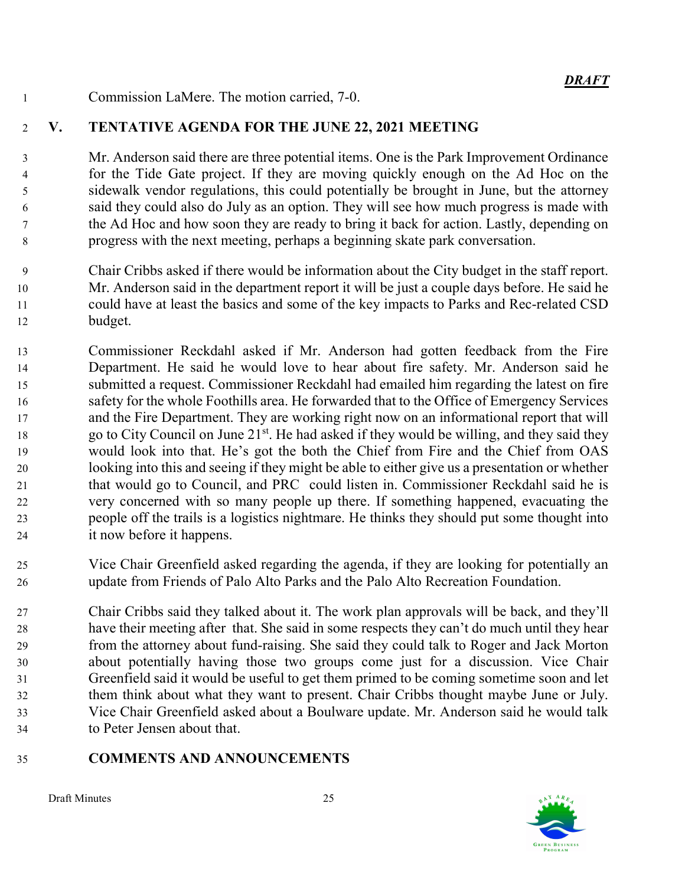Commission LaMere. The motion carried, 7-0.

### V. TENTATIVE AGENDA FOR THE JUNE 22, 2021 MEETING

Mr. Anderson said there are three potential items. One is the Park Improvement Ordinance for the Tide Gate project. If they are moving quickly enough on the Ad Hoc on the sidewalk vendor regulations, this could potentially be brought in June, but the attorney said they could also do July as an option. They will see how much progress is made with the Ad Hoc and how soon they are ready to bring it back for action. Lastly, depending on progress with the next meeting, perhaps a beginning skate park conversation.

- Chair Cribbs asked if there would be information about the City budget in the staff report. Mr. Anderson said in the department report it will be just a couple days before. He said he could have at least the basics and some of the key impacts to Parks and Rec-related CSD budget.
- Commissioner Reckdahl asked if Mr. Anderson had gotten feedback from the Fire Department. He said he would love to hear about fire safety. Mr. Anderson said he submitted a request. Commissioner Reckdahl had emailed him regarding the latest on fire safety for the whole Foothills area. He forwarded that to the Office of Emergency Services and the Fire Department. They are working right now on an informational report that will 18 had go to City Council on June  $21^{st}$ . He had asked if they would be willing, and they said they would look into that. He's got the both the Chief from Fire and the Chief from OAS looking into this and seeing if they might be able to either give us a presentation or whether that would go to Council, and PRC could listen in. Commissioner Reckdahl said he is very concerned with so many people up there. If something happened, evacuating the people off the trails is a logistics nightmare. He thinks they should put some thought into it now before it happens.
- Vice Chair Greenfield asked regarding the agenda, if they are looking for potentially an update from Friends of Palo Alto Parks and the Palo Alto Recreation Foundation.
- Chair Cribbs said they talked about it. The work plan approvals will be back, and they'll have their meeting after that. She said in some respects they can't do much until they hear from the attorney about fund-raising. She said they could talk to Roger and Jack Morton about potentially having those two groups come just for a discussion. Vice Chair Greenfield said it would be useful to get them primed to be coming sometime soon and let them think about what they want to present. Chair Cribbs thought maybe June or July. Vice Chair Greenfield asked about a Boulware update. Mr. Anderson said he would talk to Peter Jensen about that.
- COMMENTS AND ANNOUNCEMENTS

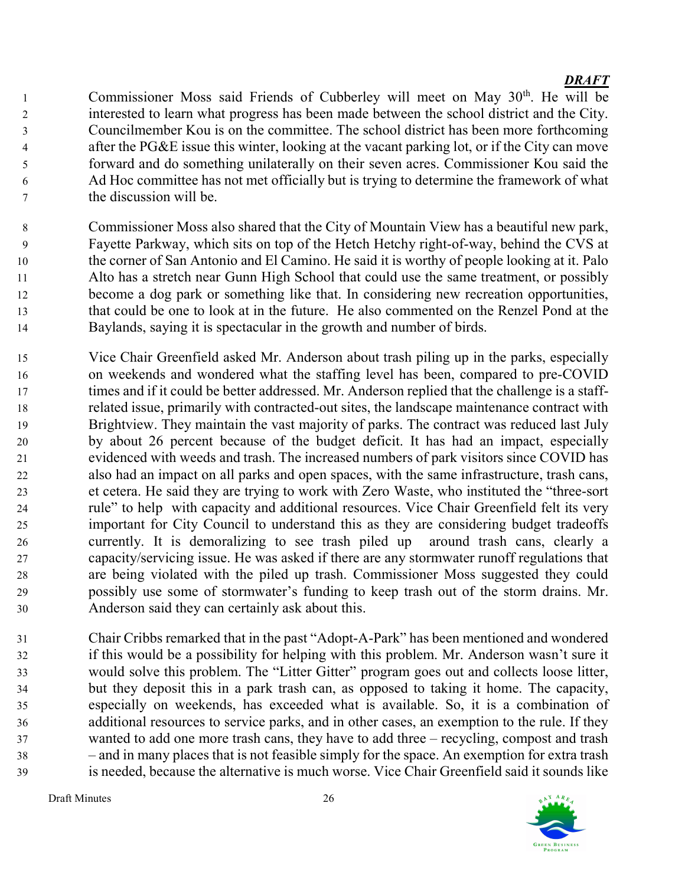1 Commissioner Moss said Friends of Cubberley will meet on May  $30<sup>th</sup>$ . He will be interested to learn what progress has been made between the school district and the City. Councilmember Kou is on the committee. The school district has been more forthcoming after the PG&E issue this winter, looking at the vacant parking lot, or if the City can move forward and do something unilaterally on their seven acres. Commissioner Kou said the Ad Hoc committee has not met officially but is trying to determine the framework of what the discussion will be.

- Commissioner Moss also shared that the City of Mountain View has a beautiful new park, Fayette Parkway, which sits on top of the Hetch Hetchy right-of-way, behind the CVS at the corner of San Antonio and El Camino. He said it is worthy of people looking at it. Palo Alto has a stretch near Gunn High School that could use the same treatment, or possibly become a dog park or something like that. In considering new recreation opportunities, that could be one to look at in the future. He also commented on the Renzel Pond at the Baylands, saying it is spectacular in the growth and number of birds.
- Vice Chair Greenfield asked Mr. Anderson about trash piling up in the parks, especially on weekends and wondered what the staffing level has been, compared to pre-COVID 17 times and if it could be better addressed. Mr. Anderson replied that the challenge is a staff-related issue, primarily with contracted-out sites, the landscape maintenance contract with Brightview. They maintain the vast majority of parks. The contract was reduced last July by about 26 percent because of the budget deficit. It has had an impact, especially evidenced with weeds and trash. The increased numbers of park visitors since COVID has also had an impact on all parks and open spaces, with the same infrastructure, trash cans, et cetera. He said they are trying to work with Zero Waste, who instituted the "three-sort rule" to help with capacity and additional resources. Vice Chair Greenfield felt its very important for City Council to understand this as they are considering budget tradeoffs currently. It is demoralizing to see trash piled up around trash cans, clearly a capacity/servicing issue. He was asked if there are any stormwater runoff regulations that are being violated with the piled up trash. Commissioner Moss suggested they could possibly use some of stormwater's funding to keep trash out of the storm drains. Mr. Anderson said they can certainly ask about this.
- Chair Cribbs remarked that in the past "Adopt-A-Park" has been mentioned and wondered if this would be a possibility for helping with this problem. Mr. Anderson wasn't sure it would solve this problem. The "Litter Gitter" program goes out and collects loose litter, but they deposit this in a park trash can, as opposed to taking it home. The capacity, especially on weekends, has exceeded what is available. So, it is a combination of additional resources to service parks, and in other cases, an exemption to the rule. If they wanted to add one more trash cans, they have to add three – recycling, compost and trash – and in many places that is not feasible simply for the space. An exemption for extra trash is needed, because the alternative is much worse. Vice Chair Greenfield said it sounds like